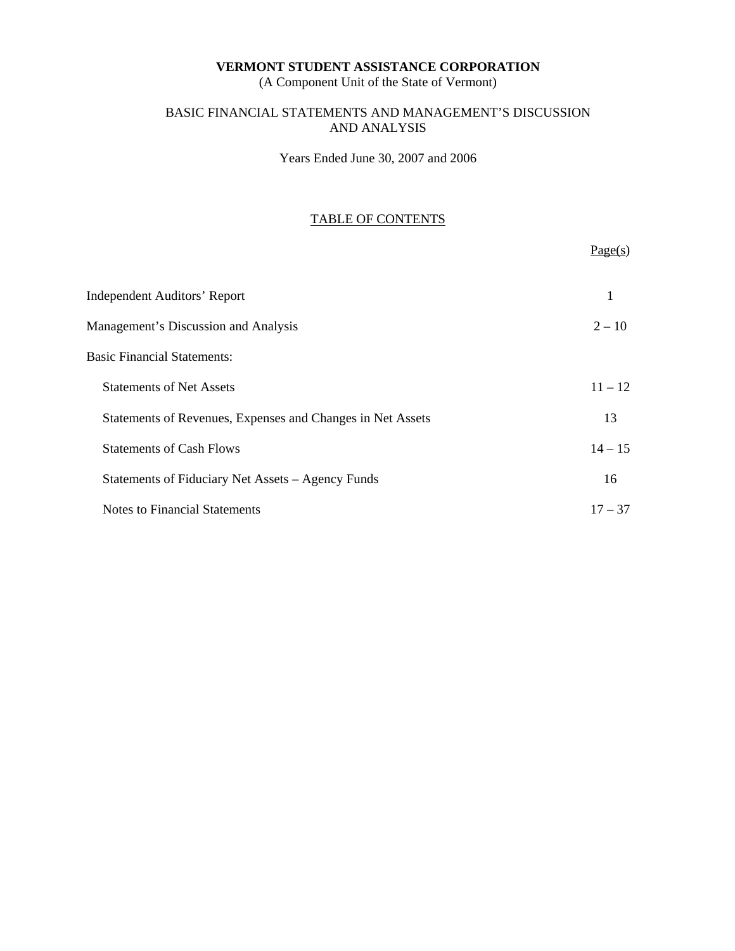(A Component Unit of the State of Vermont)

# BASIC FINANCIAL STATEMENTS AND MANAGEMENT'S DISCUSSION AND ANALYSIS

Years Ended June 30, 2007 and 2006

# TABLE OF CONTENTS

 $Page(s)$ 

| <b>Independent Auditors' Report</b>                        |           |
|------------------------------------------------------------|-----------|
| Management's Discussion and Analysis                       | $2 - 10$  |
| <b>Basic Financial Statements:</b>                         |           |
| <b>Statements of Net Assets</b>                            | $11 - 12$ |
| Statements of Revenues, Expenses and Changes in Net Assets | 13        |
| <b>Statements of Cash Flows</b>                            | $14 - 15$ |
| Statements of Fiduciary Net Assets - Agency Funds          | 16        |
| Notes to Financial Statements                              | $17 - 37$ |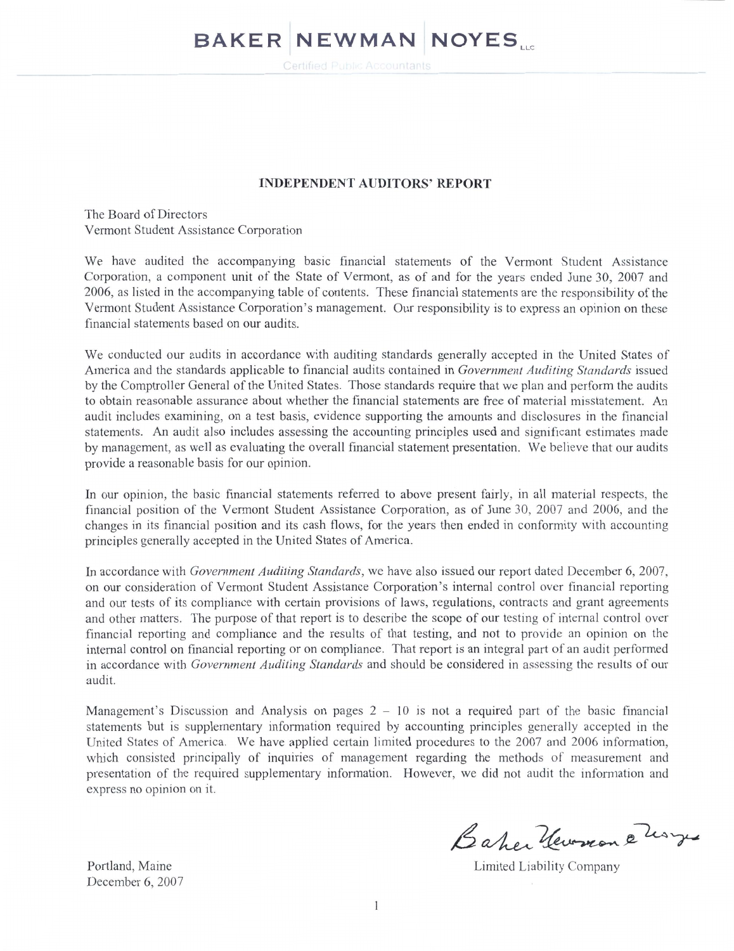# **BAKER NEWMAN NOYES.**

### **INDEPENDENT AUDITORS' REPORT**

The Board of Directors Vermont Student Assistance Corporation

We have audited the accompanying basic financial statements of the Vermont Student Assistance Corporation, a component unit of the State of Vermont, as of and for the years ended June 30, 2007 and 2006, as listed in the accompanying table of contents. These financial statements are the responsibility of the Vermont Student Assistance Corporation's management. Our responsibility is to express an opinion on these financial statements based on our audits.

We conducted our audits in accordance with auditing standards generally accepted in the United States of America and the standards applicable to financial audits contained in Government Auditing Standards issued by the Comptroller General of the United States. Those standards require that we plan and perform the audits to obtain reasonable assurance about whether the financial statements are free of material misstatement. An audit includes examining, on a test basis, evidence supporting the amounts and disclosures in the financial statements. An audit also includes assessing the accounting principles used and significant estimates made by management, as well as evaluating the overall financial statement presentation. We believe that our audits provide a reasonable basis for our opinion.

In our opinion, the basic financial statements referred to above present fairly, in all material respects, the financial position of the Vermont Student Assistance Corporation, as of June 30, 2007 and 2006, and the changes in its financial position and its cash flows, for the years then ended in conformity with accounting principles generally accepted in the United States of America.

In accordance with *Government Auditing Standards*, we have also issued our report dated December 6, 2007, on our consideration of Vermont Student Assistance Corporation's internal control over financial reporting and our tests of its compliance with certain provisions of laws, regulations, contracts and grant agreements and other matters. The purpose of that report is to describe the scope of our testing of internal control over financial reporting and compliance and the results of that testing, and not to provide an opinion on the internal control on financial reporting or on compliance. That report is an integral part of an audit performed in accordance with Government Auditing Standards and should be considered in assessing the results of our audit.

Management's Discussion and Analysis on pages  $2 - 10$  is not a required part of the basic financial statements but is supplementary information required by accounting principles generally accepted in the United States of America. We have applied certain limited procedures to the 2007 and 2006 information. which consisted principally of inquiries of management regarding the methods of measurement and presentation of the required supplementary information. However, we did not audit the information and express no opinion on it.

Portland, Maine December 6, 2007

Baher Hewren 2 horses

Limited Liability Company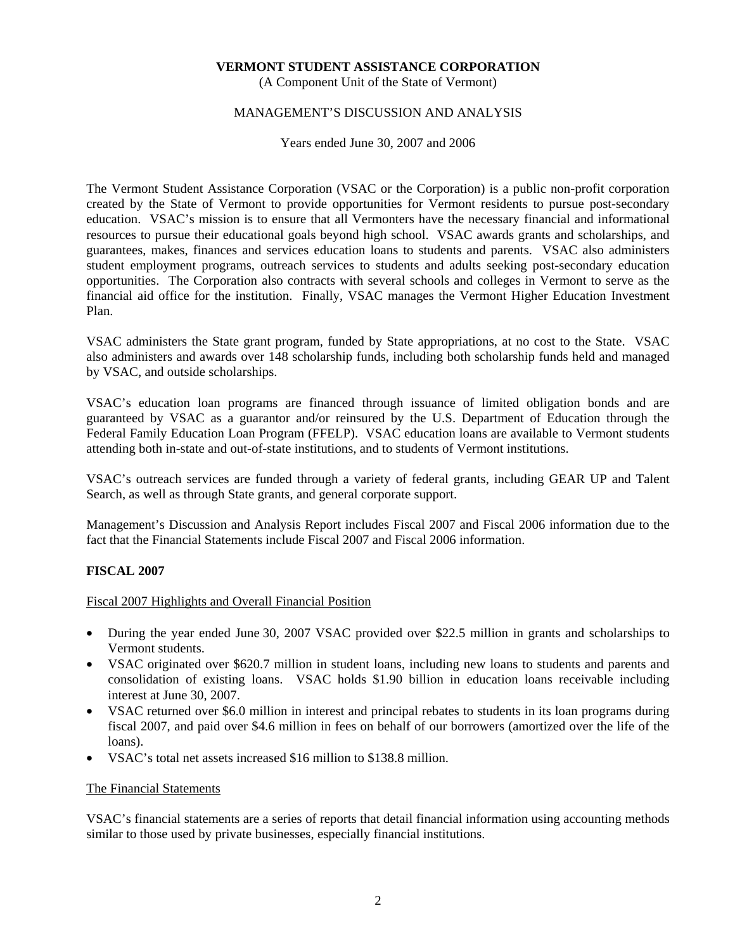(A Component Unit of the State of Vermont)

### MANAGEMENT'S DISCUSSION AND ANALYSIS

Years ended June 30, 2007 and 2006

The Vermont Student Assistance Corporation (VSAC or the Corporation) is a public non-profit corporation created by the State of Vermont to provide opportunities for Vermont residents to pursue post-secondary education. VSAC's mission is to ensure that all Vermonters have the necessary financial and informational resources to pursue their educational goals beyond high school. VSAC awards grants and scholarships, and guarantees, makes, finances and services education loans to students and parents. VSAC also administers student employment programs, outreach services to students and adults seeking post-secondary education opportunities. The Corporation also contracts with several schools and colleges in Vermont to serve as the financial aid office for the institution. Finally, VSAC manages the Vermont Higher Education Investment Plan.

VSAC administers the State grant program, funded by State appropriations, at no cost to the State. VSAC also administers and awards over 148 scholarship funds, including both scholarship funds held and managed by VSAC, and outside scholarships.

VSAC's education loan programs are financed through issuance of limited obligation bonds and are guaranteed by VSAC as a guarantor and/or reinsured by the U.S. Department of Education through the Federal Family Education Loan Program (FFELP). VSAC education loans are available to Vermont students attending both in-state and out-of-state institutions, and to students of Vermont institutions.

VSAC's outreach services are funded through a variety of federal grants, including GEAR UP and Talent Search, as well as through State grants, and general corporate support.

Management's Discussion and Analysis Report includes Fiscal 2007 and Fiscal 2006 information due to the fact that the Financial Statements include Fiscal 2007 and Fiscal 2006 information.

### **FISCAL 2007**

Fiscal 2007 Highlights and Overall Financial Position

- During the year ended June 30, 2007 VSAC provided over \$22.5 million in grants and scholarships to Vermont students.
- VSAC originated over \$620.7 million in student loans, including new loans to students and parents and consolidation of existing loans. VSAC holds \$1.90 billion in education loans receivable including interest at June 30, 2007.
- VSAC returned over \$6.0 million in interest and principal rebates to students in its loan programs during fiscal 2007, and paid over \$4.6 million in fees on behalf of our borrowers (amortized over the life of the loans).
- VSAC's total net assets increased \$16 million to \$138.8 million.

### The Financial Statements

VSAC's financial statements are a series of reports that detail financial information using accounting methods similar to those used by private businesses, especially financial institutions.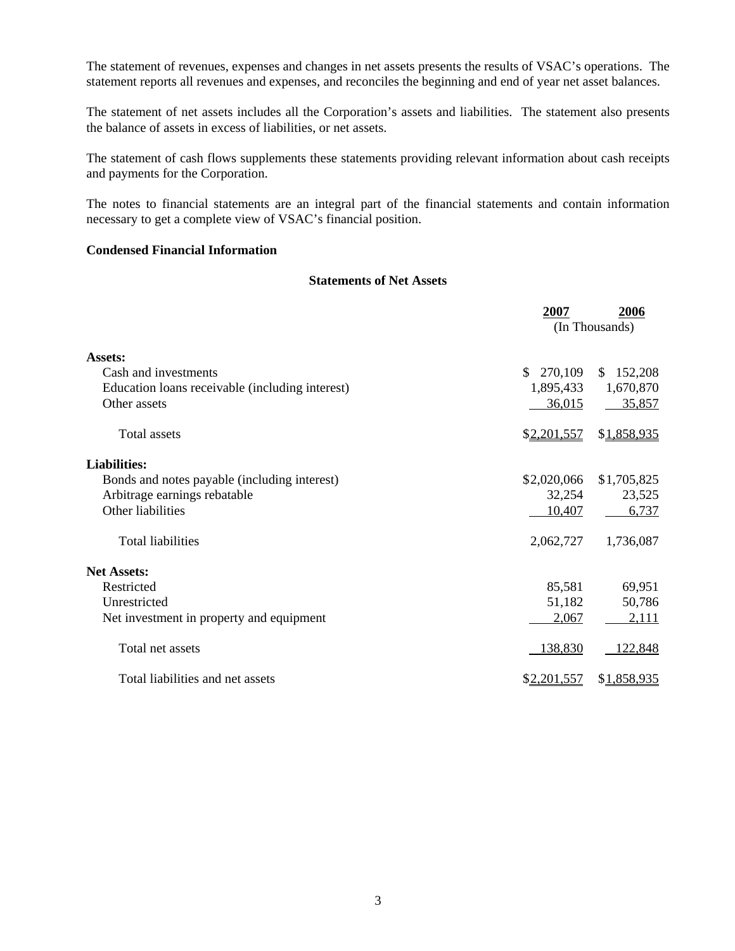The statement of revenues, expenses and changes in net assets presents the results of VSAC's operations. The statement reports all revenues and expenses, and reconciles the beginning and end of year net asset balances.

The statement of net assets includes all the Corporation's assets and liabilities. The statement also presents the balance of assets in excess of liabilities, or net assets.

The statement of cash flows supplements these statements providing relevant information about cash receipts and payments for the Corporation.

The notes to financial statements are an integral part of the financial statements and contain information necessary to get a complete view of VSAC's financial position.

### **Condensed Financial Information**

### **Statements of Net Assets**

|                                                 | 2007           | 2006        |
|-------------------------------------------------|----------------|-------------|
|                                                 | (In Thousands) |             |
| Assets:                                         |                |             |
| Cash and investments                            | \$270,109      | \$152,208   |
| Education loans receivable (including interest) | 1,895,433      | 1,670,870   |
| Other assets                                    | 36,015         | 35,857      |
| <b>Total assets</b>                             | \$2,201,557    | \$1,858,935 |
| <b>Liabilities:</b>                             |                |             |
| Bonds and notes payable (including interest)    | \$2,020,066    | \$1,705,825 |
| Arbitrage earnings rebatable                    | 32,254         | 23,525      |
| Other liabilities                               | 10,407         | 6,737       |
| <b>Total liabilities</b>                        | 2,062,727      | 1,736,087   |
| <b>Net Assets:</b>                              |                |             |
| Restricted                                      | 85,581         | 69,951      |
| Unrestricted                                    | 51,182         | 50,786      |
| Net investment in property and equipment        | 2,067          | 2,111       |
| Total net assets                                | 138,830        | 122,848     |
| Total liabilities and net assets                | \$2,201,557    | \$1,858,935 |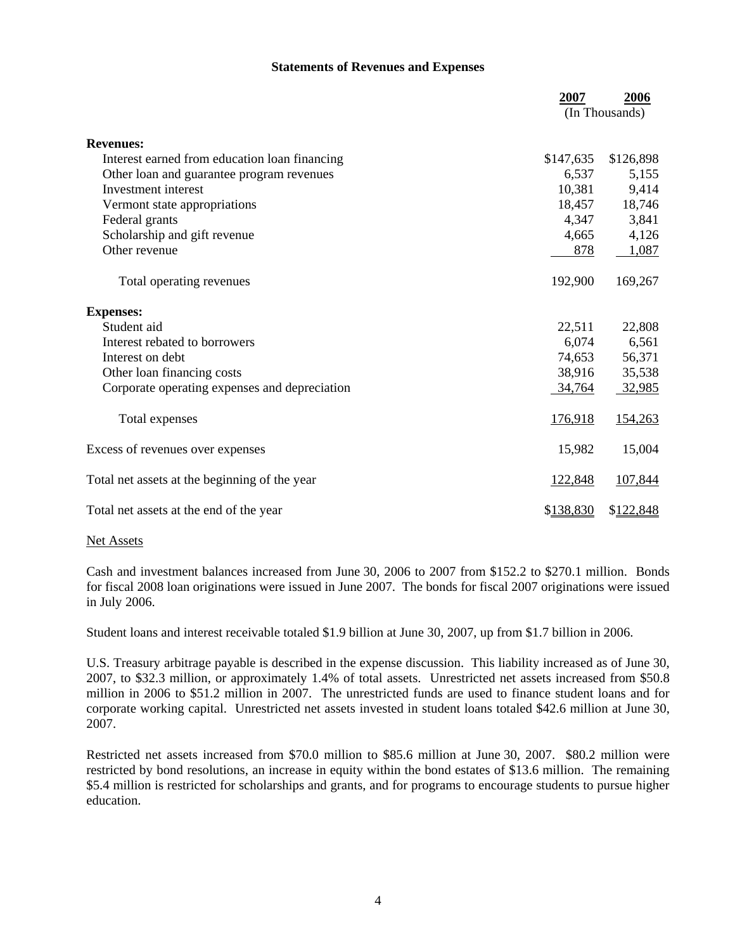### **Statements of Revenues and Expenses**

|                                               | 2007      | 2006<br>(In Thousands) |
|-----------------------------------------------|-----------|------------------------|
| <b>Revenues:</b>                              |           |                        |
| Interest earned from education loan financing | \$147,635 | \$126,898              |
| Other loan and guarantee program revenues     | 6,537     | 5,155                  |
| Investment interest                           | 10,381    | 9,414                  |
| Vermont state appropriations                  | 18,457    | 18,746                 |
| Federal grants                                | 4,347     | 3,841                  |
| Scholarship and gift revenue                  | 4,665     | 4,126                  |
| Other revenue                                 | 878       | 1,087                  |
| Total operating revenues                      | 192,900   | 169,267                |
| <b>Expenses:</b>                              |           |                        |
| Student aid                                   | 22,511    | 22,808                 |
| Interest rebated to borrowers                 | 6,074     | 6,561                  |
| Interest on debt                              | 74,653    | 56,371                 |
| Other loan financing costs                    | 38,916    | 35,538                 |
| Corporate operating expenses and depreciation | 34,764    | 32,985                 |
| Total expenses                                | 176,918   | 154,263                |
| Excess of revenues over expenses              | 15,982    | 15,004                 |
| Total net assets at the beginning of the year | 122,848   | 107,844                |
| Total net assets at the end of the year       | \$138,830 | \$122,848              |

### Net Assets

Cash and investment balances increased from June 30, 2006 to 2007 from \$152.2 to \$270.1 million. Bonds for fiscal 2008 loan originations were issued in June 2007. The bonds for fiscal 2007 originations were issued in July 2006.

Student loans and interest receivable totaled \$1.9 billion at June 30, 2007, up from \$1.7 billion in 2006.

U.S. Treasury arbitrage payable is described in the expense discussion. This liability increased as of June 30, 2007, to \$32.3 million, or approximately 1.4% of total assets. Unrestricted net assets increased from \$50.8 million in 2006 to \$51.2 million in 2007. The unrestricted funds are used to finance student loans and for corporate working capital. Unrestricted net assets invested in student loans totaled \$42.6 million at June 30, 2007.

Restricted net assets increased from \$70.0 million to \$85.6 million at June 30, 2007. \$80.2 million were restricted by bond resolutions, an increase in equity within the bond estates of \$13.6 million. The remaining \$5.4 million is restricted for scholarships and grants, and for programs to encourage students to pursue higher education.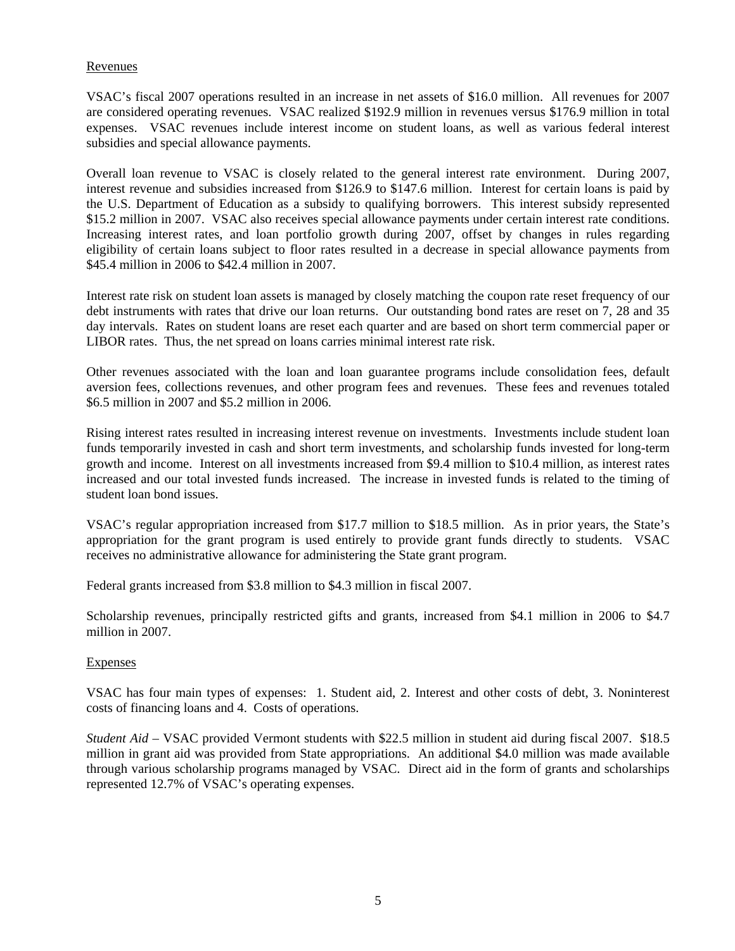### Revenues

VSAC's fiscal 2007 operations resulted in an increase in net assets of \$16.0 million. All revenues for 2007 are considered operating revenues. VSAC realized \$192.9 million in revenues versus \$176.9 million in total expenses. VSAC revenues include interest income on student loans, as well as various federal interest subsidies and special allowance payments.

Overall loan revenue to VSAC is closely related to the general interest rate environment. During 2007, interest revenue and subsidies increased from \$126.9 to \$147.6 million. Interest for certain loans is paid by the U.S. Department of Education as a subsidy to qualifying borrowers. This interest subsidy represented \$15.2 million in 2007. VSAC also receives special allowance payments under certain interest rate conditions. Increasing interest rates, and loan portfolio growth during 2007, offset by changes in rules regarding eligibility of certain loans subject to floor rates resulted in a decrease in special allowance payments from \$45.4 million in 2006 to \$42.4 million in 2007.

Interest rate risk on student loan assets is managed by closely matching the coupon rate reset frequency of our debt instruments with rates that drive our loan returns. Our outstanding bond rates are reset on 7, 28 and 35 day intervals. Rates on student loans are reset each quarter and are based on short term commercial paper or LIBOR rates. Thus, the net spread on loans carries minimal interest rate risk.

Other revenues associated with the loan and loan guarantee programs include consolidation fees, default aversion fees, collections revenues, and other program fees and revenues. These fees and revenues totaled \$6.5 million in 2007 and \$5.2 million in 2006.

Rising interest rates resulted in increasing interest revenue on investments. Investments include student loan funds temporarily invested in cash and short term investments, and scholarship funds invested for long-term growth and income. Interest on all investments increased from \$9.4 million to \$10.4 million, as interest rates increased and our total invested funds increased. The increase in invested funds is related to the timing of student loan bond issues.

VSAC's regular appropriation increased from \$17.7 million to \$18.5 million. As in prior years, the State's appropriation for the grant program is used entirely to provide grant funds directly to students. VSAC receives no administrative allowance for administering the State grant program.

Federal grants increased from \$3.8 million to \$4.3 million in fiscal 2007.

Scholarship revenues, principally restricted gifts and grants, increased from \$4.1 million in 2006 to \$4.7 million in 2007.

### Expenses

VSAC has four main types of expenses: 1. Student aid, 2. Interest and other costs of debt, 3. Noninterest costs of financing loans and 4. Costs of operations.

*Student Aid* – VSAC provided Vermont students with \$22.5 million in student aid during fiscal 2007. \$18.5 million in grant aid was provided from State appropriations. An additional \$4.0 million was made available through various scholarship programs managed by VSAC. Direct aid in the form of grants and scholarships represented 12.7% of VSAC's operating expenses.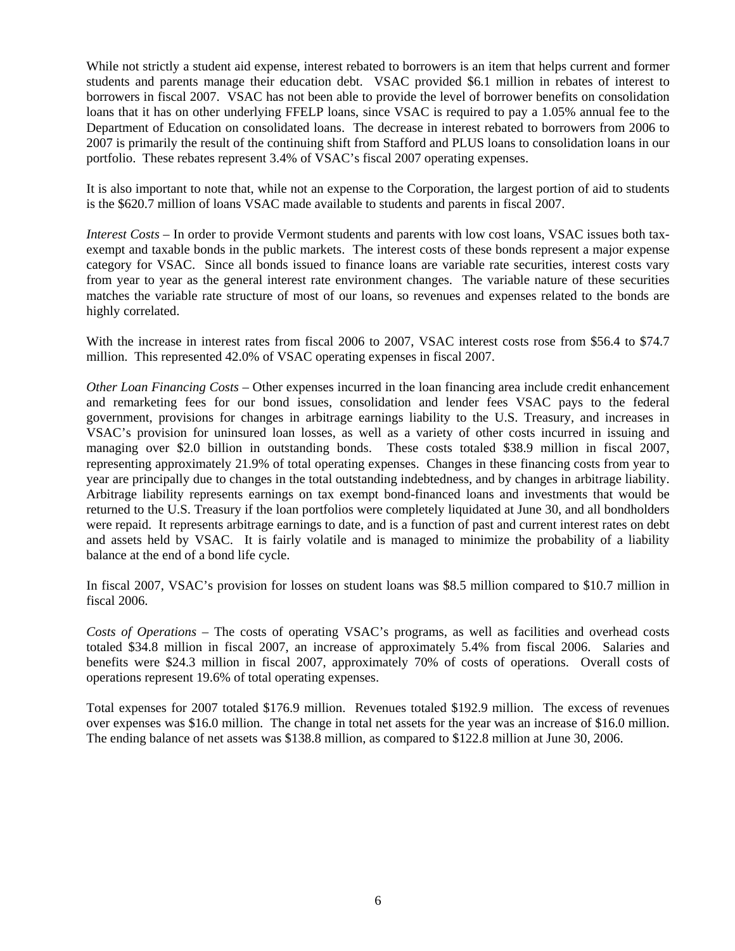While not strictly a student aid expense, interest rebated to borrowers is an item that helps current and former students and parents manage their education debt. VSAC provided \$6.1 million in rebates of interest to borrowers in fiscal 2007. VSAC has not been able to provide the level of borrower benefits on consolidation loans that it has on other underlying FFELP loans, since VSAC is required to pay a 1.05% annual fee to the Department of Education on consolidated loans. The decrease in interest rebated to borrowers from 2006 to 2007 is primarily the result of the continuing shift from Stafford and PLUS loans to consolidation loans in our portfolio. These rebates represent 3.4% of VSAC's fiscal 2007 operating expenses.

It is also important to note that, while not an expense to the Corporation, the largest portion of aid to students is the \$620.7 million of loans VSAC made available to students and parents in fiscal 2007.

*Interest Costs* – In order to provide Vermont students and parents with low cost loans, VSAC issues both taxexempt and taxable bonds in the public markets. The interest costs of these bonds represent a major expense category for VSAC. Since all bonds issued to finance loans are variable rate securities, interest costs vary from year to year as the general interest rate environment changes. The variable nature of these securities matches the variable rate structure of most of our loans, so revenues and expenses related to the bonds are highly correlated.

With the increase in interest rates from fiscal 2006 to 2007, VSAC interest costs rose from \$56.4 to \$74.7 million. This represented 42.0% of VSAC operating expenses in fiscal 2007.

*Other Loan Financing Costs* – Other expenses incurred in the loan financing area include credit enhancement and remarketing fees for our bond issues, consolidation and lender fees VSAC pays to the federal government, provisions for changes in arbitrage earnings liability to the U.S. Treasury, and increases in VSAC's provision for uninsured loan losses, as well as a variety of other costs incurred in issuing and managing over \$2.0 billion in outstanding bonds. These costs totaled \$38.9 million in fiscal 2007, representing approximately 21.9% of total operating expenses. Changes in these financing costs from year to year are principally due to changes in the total outstanding indebtedness, and by changes in arbitrage liability. Arbitrage liability represents earnings on tax exempt bond-financed loans and investments that would be returned to the U.S. Treasury if the loan portfolios were completely liquidated at June 30, and all bondholders were repaid. It represents arbitrage earnings to date, and is a function of past and current interest rates on debt and assets held by VSAC. It is fairly volatile and is managed to minimize the probability of a liability balance at the end of a bond life cycle.

In fiscal 2007, VSAC's provision for losses on student loans was \$8.5 million compared to \$10.7 million in fiscal 2006.

*Costs of Operations* – The costs of operating VSAC's programs, as well as facilities and overhead costs totaled \$34.8 million in fiscal 2007, an increase of approximately 5.4% from fiscal 2006. Salaries and benefits were \$24.3 million in fiscal 2007, approximately 70% of costs of operations. Overall costs of operations represent 19.6% of total operating expenses.

Total expenses for 2007 totaled \$176.9 million. Revenues totaled \$192.9 million. The excess of revenues over expenses was \$16.0 million. The change in total net assets for the year was an increase of \$16.0 million. The ending balance of net assets was \$138.8 million, as compared to \$122.8 million at June 30, 2006.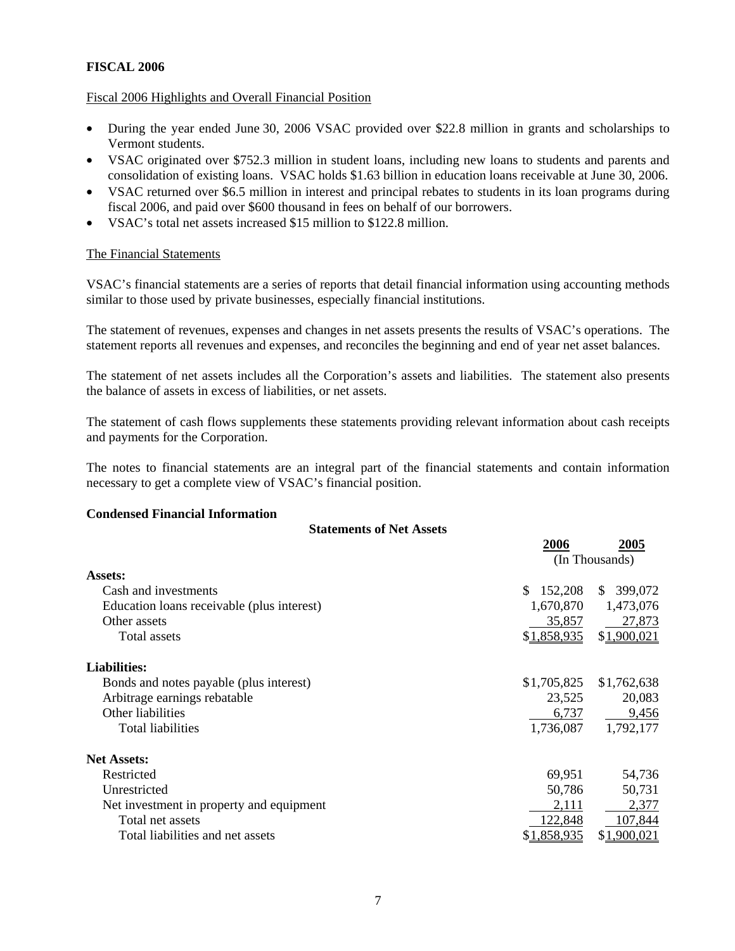# **FISCAL 2006**

### Fiscal 2006 Highlights and Overall Financial Position

- During the year ended June 30, 2006 VSAC provided over \$22.8 million in grants and scholarships to Vermont students.
- VSAC originated over \$752.3 million in student loans, including new loans to students and parents and consolidation of existing loans. VSAC holds \$1.63 billion in education loans receivable at June 30, 2006.
- VSAC returned over \$6.5 million in interest and principal rebates to students in its loan programs during fiscal 2006, and paid over \$600 thousand in fees on behalf of our borrowers.
- VSAC's total net assets increased \$15 million to \$122.8 million.

### The Financial Statements

VSAC's financial statements are a series of reports that detail financial information using accounting methods similar to those used by private businesses, especially financial institutions.

The statement of revenues, expenses and changes in net assets presents the results of VSAC's operations. The statement reports all revenues and expenses, and reconciles the beginning and end of year net asset balances.

The statement of net assets includes all the Corporation's assets and liabilities. The statement also presents the balance of assets in excess of liabilities, or net assets.

The statement of cash flows supplements these statements providing relevant information about cash receipts and payments for the Corporation.

The notes to financial statements are an integral part of the financial statements and contain information necessary to get a complete view of VSAC's financial position.

### **Condensed Financial Information**

| <b>Statements of Net Assets</b>            |               |                        |
|--------------------------------------------|---------------|------------------------|
|                                            | 2006          | 2005<br>(In Thousands) |
| Assets:                                    |               |                        |
| Cash and investments                       | 152,208<br>S. | \$399,072              |
| Education loans receivable (plus interest) | 1,670,870     | 1,473,076              |
| Other assets                               | 35,857        | 27,873                 |
| Total assets                               | \$1,858,935   | \$1,900,021            |
| <b>Liabilities:</b>                        |               |                        |
| Bonds and notes payable (plus interest)    | \$1,705,825   | \$1,762,638            |
| Arbitrage earnings rebatable               | 23,525        | 20,083                 |
| Other liabilities                          | 6,737         | 9,456                  |
| Total liabilities                          | 1,736,087     | 1,792,177              |
| <b>Net Assets:</b>                         |               |                        |
| Restricted                                 | 69,951        | 54,736                 |
| Unrestricted                               | 50,786        | 50,731                 |
| Net investment in property and equipment   | 2,111         | 2,377                  |
| Total net assets                           | 122,848       | 107,844                |
| Total liabilities and net assets           | \$1,858,935   | \$1,900,021            |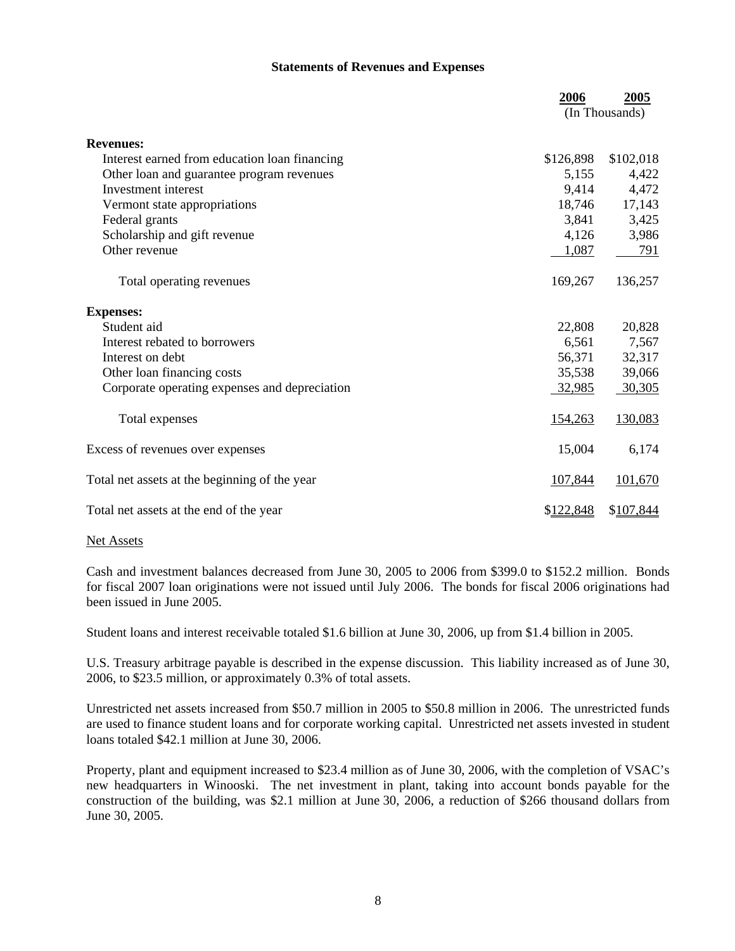### **Statements of Revenues and Expenses**

|                                               | 2006      | 2005<br>(In Thousands) |
|-----------------------------------------------|-----------|------------------------|
| <b>Revenues:</b>                              |           |                        |
| Interest earned from education loan financing | \$126,898 | \$102,018              |
| Other loan and guarantee program revenues     | 5,155     | 4,422                  |
| Investment interest                           | 9,414     | 4,472                  |
| Vermont state appropriations                  | 18,746    | 17,143                 |
| Federal grants                                | 3,841     | 3,425                  |
| Scholarship and gift revenue                  | 4,126     | 3,986                  |
| Other revenue                                 | 1,087     | 791                    |
| Total operating revenues                      | 169,267   | 136,257                |
| <b>Expenses:</b>                              |           |                        |
| Student aid                                   | 22,808    | 20,828                 |
| Interest rebated to borrowers                 | 6,561     | 7,567                  |
| Interest on debt                              | 56,371    | 32,317                 |
| Other loan financing costs                    | 35,538    | 39,066                 |
| Corporate operating expenses and depreciation | 32,985    | 30,305                 |
| Total expenses                                | 154,263   | 130,083                |
| Excess of revenues over expenses              | 15,004    | 6,174                  |
| Total net assets at the beginning of the year | 107,844   | 101,670                |
| Total net assets at the end of the year       | \$122,848 | \$107,844              |

### Net Assets

Cash and investment balances decreased from June 30, 2005 to 2006 from \$399.0 to \$152.2 million. Bonds for fiscal 2007 loan originations were not issued until July 2006. The bonds for fiscal 2006 originations had been issued in June 2005.

Student loans and interest receivable totaled \$1.6 billion at June 30, 2006, up from \$1.4 billion in 2005.

U.S. Treasury arbitrage payable is described in the expense discussion. This liability increased as of June 30, 2006, to \$23.5 million, or approximately 0.3% of total assets.

Unrestricted net assets increased from \$50.7 million in 2005 to \$50.8 million in 2006. The unrestricted funds are used to finance student loans and for corporate working capital. Unrestricted net assets invested in student loans totaled \$42.1 million at June 30, 2006.

Property, plant and equipment increased to \$23.4 million as of June 30, 2006, with the completion of VSAC's new headquarters in Winooski. The net investment in plant, taking into account bonds payable for the construction of the building, was \$2.1 million at June 30, 2006, a reduction of \$266 thousand dollars from June 30, 2005.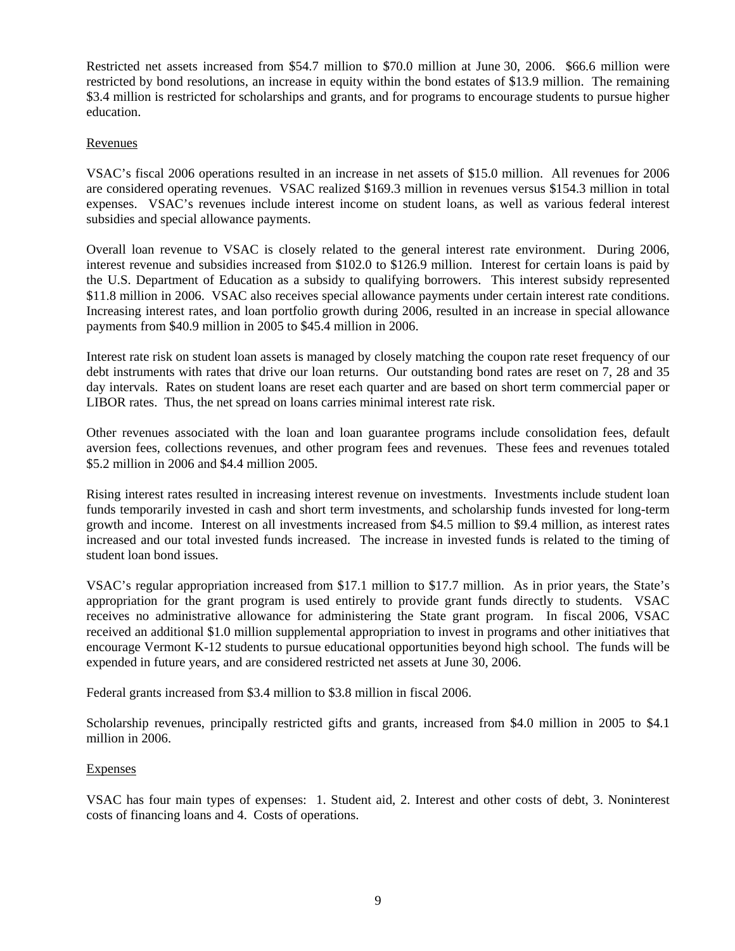Restricted net assets increased from \$54.7 million to \$70.0 million at June 30, 2006. \$66.6 million were restricted by bond resolutions, an increase in equity within the bond estates of \$13.9 million. The remaining \$3.4 million is restricted for scholarships and grants, and for programs to encourage students to pursue higher education.

### Revenues

VSAC's fiscal 2006 operations resulted in an increase in net assets of \$15.0 million. All revenues for 2006 are considered operating revenues. VSAC realized \$169.3 million in revenues versus \$154.3 million in total expenses. VSAC's revenues include interest income on student loans, as well as various federal interest subsidies and special allowance payments.

Overall loan revenue to VSAC is closely related to the general interest rate environment. During 2006, interest revenue and subsidies increased from \$102.0 to \$126.9 million. Interest for certain loans is paid by the U.S. Department of Education as a subsidy to qualifying borrowers. This interest subsidy represented \$11.8 million in 2006. VSAC also receives special allowance payments under certain interest rate conditions. Increasing interest rates, and loan portfolio growth during 2006, resulted in an increase in special allowance payments from \$40.9 million in 2005 to \$45.4 million in 2006.

Interest rate risk on student loan assets is managed by closely matching the coupon rate reset frequency of our debt instruments with rates that drive our loan returns. Our outstanding bond rates are reset on 7, 28 and 35 day intervals. Rates on student loans are reset each quarter and are based on short term commercial paper or LIBOR rates. Thus, the net spread on loans carries minimal interest rate risk.

Other revenues associated with the loan and loan guarantee programs include consolidation fees, default aversion fees, collections revenues, and other program fees and revenues. These fees and revenues totaled \$5.2 million in 2006 and \$4.4 million 2005.

Rising interest rates resulted in increasing interest revenue on investments. Investments include student loan funds temporarily invested in cash and short term investments, and scholarship funds invested for long-term growth and income. Interest on all investments increased from \$4.5 million to \$9.4 million, as interest rates increased and our total invested funds increased. The increase in invested funds is related to the timing of student loan bond issues.

VSAC's regular appropriation increased from \$17.1 million to \$17.7 million. As in prior years, the State's appropriation for the grant program is used entirely to provide grant funds directly to students. VSAC receives no administrative allowance for administering the State grant program. In fiscal 2006, VSAC received an additional \$1.0 million supplemental appropriation to invest in programs and other initiatives that encourage Vermont K-12 students to pursue educational opportunities beyond high school. The funds will be expended in future years, and are considered restricted net assets at June 30, 2006.

Federal grants increased from \$3.4 million to \$3.8 million in fiscal 2006.

Scholarship revenues, principally restricted gifts and grants, increased from \$4.0 million in 2005 to \$4.1 million in 2006.

### Expenses

VSAC has four main types of expenses: 1. Student aid, 2. Interest and other costs of debt, 3. Noninterest costs of financing loans and 4. Costs of operations.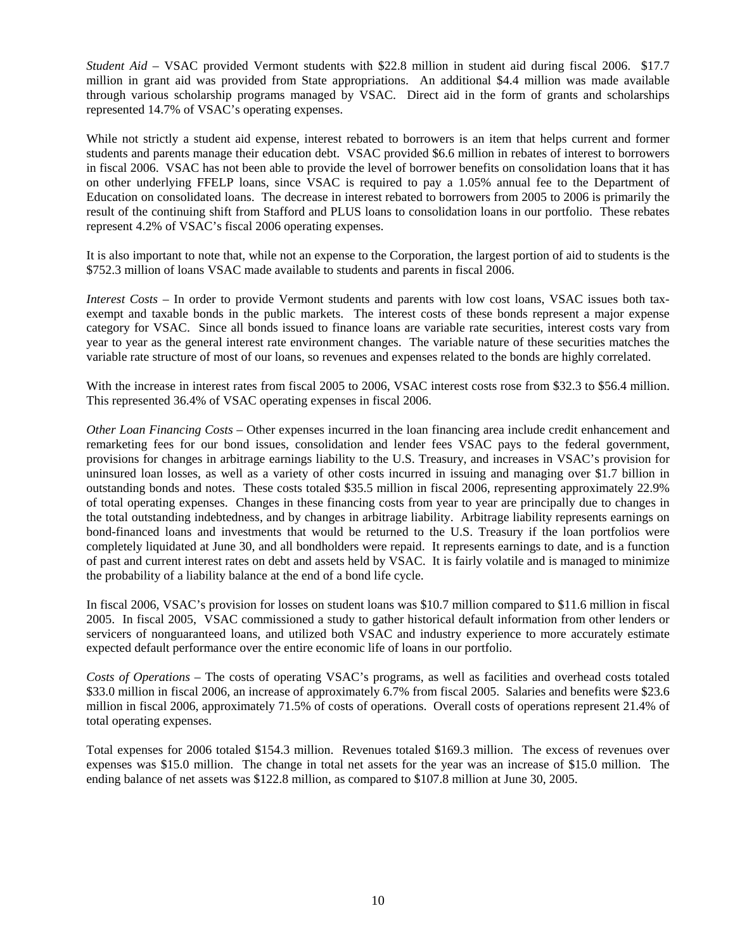*Student Aid* – VSAC provided Vermont students with \$22.8 million in student aid during fiscal 2006. \$17.7 million in grant aid was provided from State appropriations. An additional \$4.4 million was made available through various scholarship programs managed by VSAC. Direct aid in the form of grants and scholarships represented 14.7% of VSAC's operating expenses.

While not strictly a student aid expense, interest rebated to borrowers is an item that helps current and former students and parents manage their education debt. VSAC provided \$6.6 million in rebates of interest to borrowers in fiscal 2006. VSAC has not been able to provide the level of borrower benefits on consolidation loans that it has on other underlying FFELP loans, since VSAC is required to pay a 1.05% annual fee to the Department of Education on consolidated loans. The decrease in interest rebated to borrowers from 2005 to 2006 is primarily the result of the continuing shift from Stafford and PLUS loans to consolidation loans in our portfolio. These rebates represent 4.2% of VSAC's fiscal 2006 operating expenses.

It is also important to note that, while not an expense to the Corporation, the largest portion of aid to students is the \$752.3 million of loans VSAC made available to students and parents in fiscal 2006.

*Interest Costs* – In order to provide Vermont students and parents with low cost loans, VSAC issues both taxexempt and taxable bonds in the public markets. The interest costs of these bonds represent a major expense category for VSAC. Since all bonds issued to finance loans are variable rate securities, interest costs vary from year to year as the general interest rate environment changes. The variable nature of these securities matches the variable rate structure of most of our loans, so revenues and expenses related to the bonds are highly correlated.

With the increase in interest rates from fiscal 2005 to 2006, VSAC interest costs rose from \$32.3 to \$56.4 million. This represented 36.4% of VSAC operating expenses in fiscal 2006.

*Other Loan Financing Costs* – Other expenses incurred in the loan financing area include credit enhancement and remarketing fees for our bond issues, consolidation and lender fees VSAC pays to the federal government, provisions for changes in arbitrage earnings liability to the U.S. Treasury, and increases in VSAC's provision for uninsured loan losses, as well as a variety of other costs incurred in issuing and managing over \$1.7 billion in outstanding bonds and notes. These costs totaled \$35.5 million in fiscal 2006, representing approximately 22.9% of total operating expenses. Changes in these financing costs from year to year are principally due to changes in the total outstanding indebtedness, and by changes in arbitrage liability. Arbitrage liability represents earnings on bond-financed loans and investments that would be returned to the U.S. Treasury if the loan portfolios were completely liquidated at June 30, and all bondholders were repaid. It represents earnings to date, and is a function of past and current interest rates on debt and assets held by VSAC. It is fairly volatile and is managed to minimize the probability of a liability balance at the end of a bond life cycle.

In fiscal 2006, VSAC's provision for losses on student loans was \$10.7 million compared to \$11.6 million in fiscal 2005. In fiscal 2005, VSAC commissioned a study to gather historical default information from other lenders or servicers of nonguaranteed loans, and utilized both VSAC and industry experience to more accurately estimate expected default performance over the entire economic life of loans in our portfolio.

*Costs of Operations* – The costs of operating VSAC's programs, as well as facilities and overhead costs totaled \$33.0 million in fiscal 2006, an increase of approximately 6.7% from fiscal 2005. Salaries and benefits were \$23.6 million in fiscal 2006, approximately 71.5% of costs of operations. Overall costs of operations represent 21.4% of total operating expenses.

Total expenses for 2006 totaled \$154.3 million. Revenues totaled \$169.3 million. The excess of revenues over expenses was \$15.0 million. The change in total net assets for the year was an increase of \$15.0 million. The ending balance of net assets was \$122.8 million, as compared to \$107.8 million at June 30, 2005.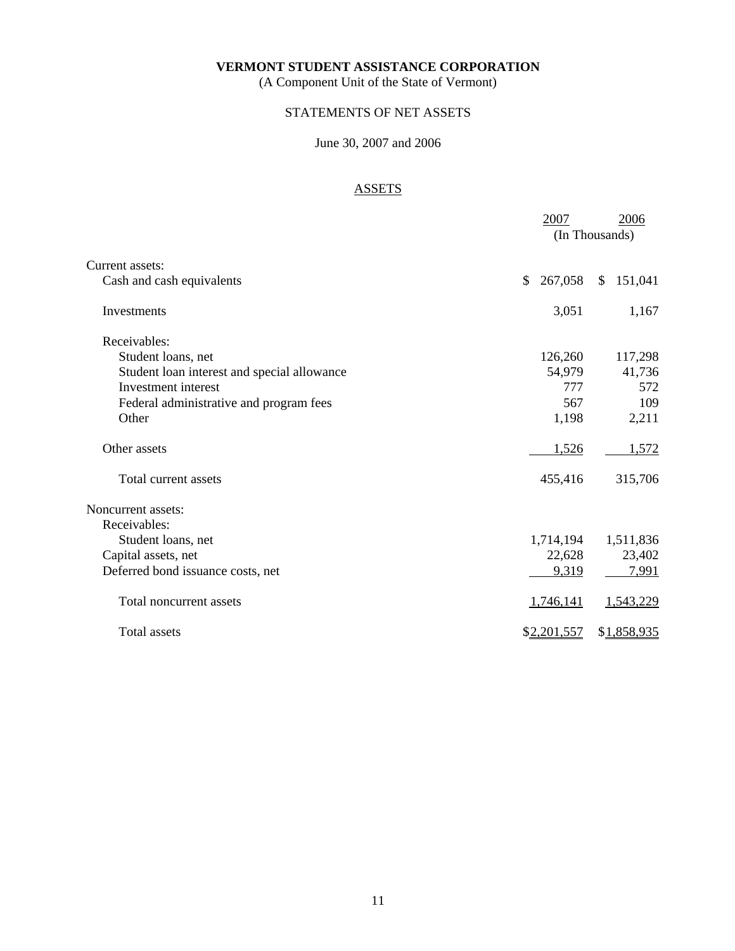(A Component Unit of the State of Vermont)

## STATEMENTS OF NET ASSETS

# June 30, 2007 and 2006

# ASSETS

|                                             | 2007          | 2006<br>(In Thousands) |
|---------------------------------------------|---------------|------------------------|
| Current assets:                             |               |                        |
| Cash and cash equivalents                   | 267,058<br>\$ | 151,041<br>\$          |
| Investments                                 | 3,051         | 1,167                  |
| Receivables:                                |               |                        |
| Student loans, net                          | 126,260       | 117,298                |
| Student loan interest and special allowance | 54,979        | 41,736                 |
| Investment interest                         | 777           | 572                    |
| Federal administrative and program fees     | 567           | 109                    |
| Other                                       | 1,198         | 2,211                  |
| Other assets                                | 1,526         | 1,572                  |
| Total current assets                        | 455,416       | 315,706                |
| Noncurrent assets:                          |               |                        |
| Receivables:                                |               |                        |
| Student loans, net                          | 1,714,194     | 1,511,836              |
| Capital assets, net                         | 22,628        | 23,402                 |
| Deferred bond issuance costs, net           | 9,319         | 7,991                  |
| Total noncurrent assets                     | 1,746,141     | 1,543,229              |
| Total assets                                | \$2,201,557   | \$1,858,935            |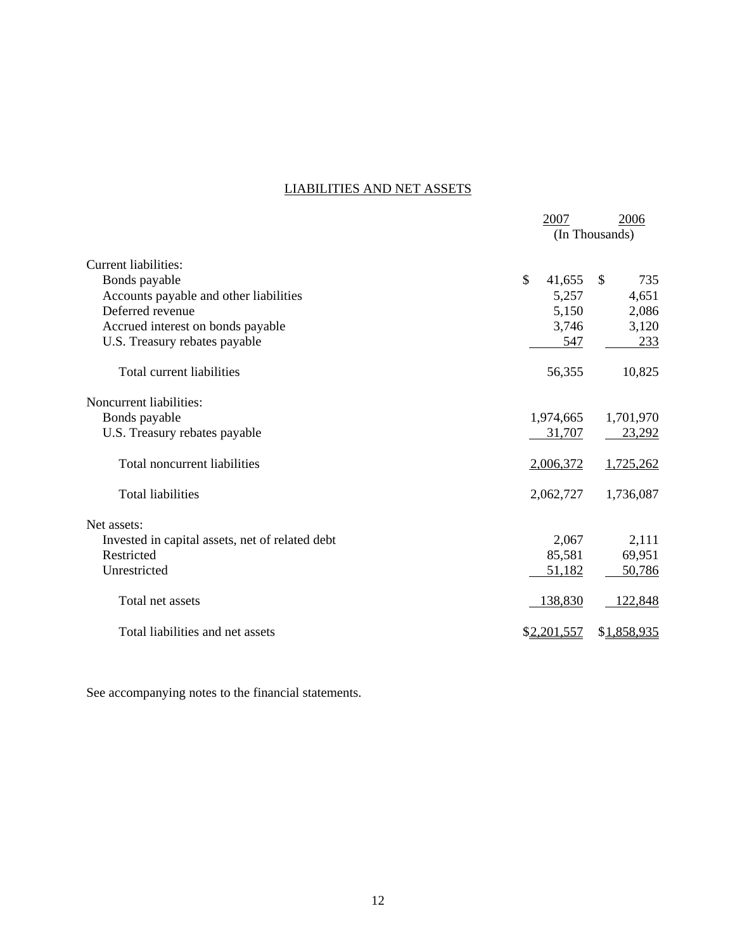# LIABILITIES AND NET ASSETS

|                                                 | 2007         | 2006<br>(In Thousands) |
|-------------------------------------------------|--------------|------------------------|
| Current liabilities:                            |              |                        |
| Bonds payable                                   | \$<br>41,655 | $\mathcal{S}$<br>735   |
| Accounts payable and other liabilities          | 5,257        | 4,651                  |
| Deferred revenue                                | 5,150        | 2,086                  |
| Accrued interest on bonds payable               | 3,746        | 3,120                  |
| U.S. Treasury rebates payable                   | 547          | 233                    |
| Total current liabilities                       | 56,355       | 10,825                 |
| Noncurrent liabilities:                         |              |                        |
| Bonds payable                                   | 1,974,665    | 1,701,970              |
| U.S. Treasury rebates payable                   | 31,707       | 23,292                 |
| Total noncurrent liabilities                    | 2,006,372    | 1,725,262              |
| <b>Total liabilities</b>                        | 2,062,727    | 1,736,087              |
| Net assets:                                     |              |                        |
| Invested in capital assets, net of related debt | 2,067        | 2,111                  |
| Restricted                                      | 85,581       | 69,951                 |
| Unrestricted                                    | 51,182       | 50,786                 |
| Total net assets                                | 138,830      | 122,848                |
| Total liabilities and net assets                | \$2,201,557  | \$1,858,935            |

See accompanying notes to the financial statements.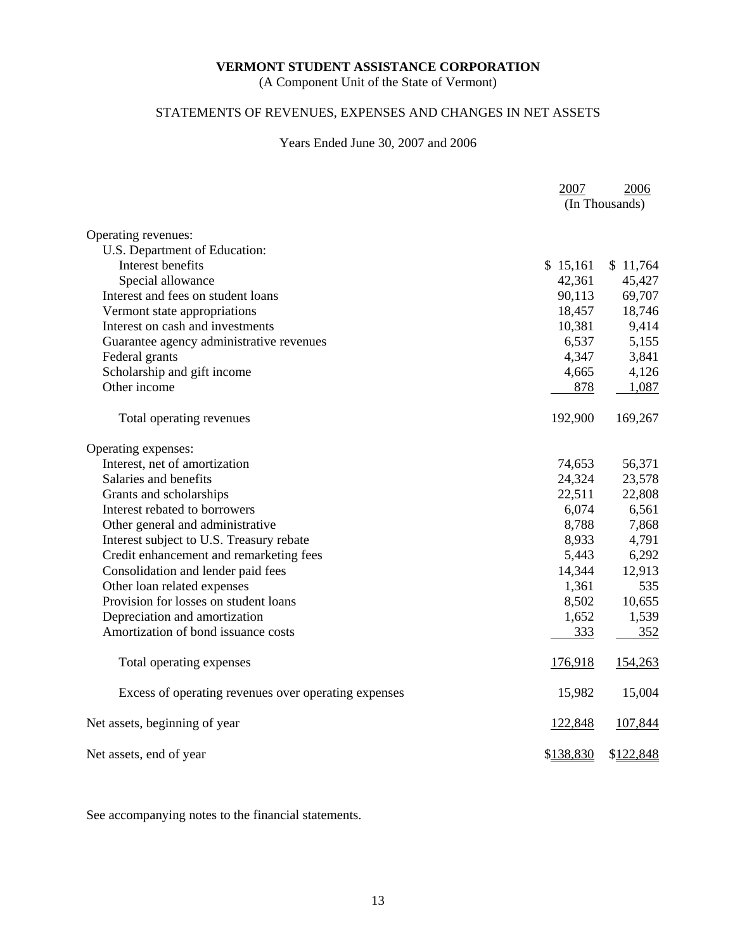(A Component Unit of the State of Vermont)

# STATEMENTS OF REVENUES, EXPENSES AND CHANGES IN NET ASSETS

### Years Ended June 30, 2007 and 2006

|                                                      | 2007           | 2006      |
|------------------------------------------------------|----------------|-----------|
|                                                      | (In Thousands) |           |
| Operating revenues:                                  |                |           |
| U.S. Department of Education:                        |                |           |
| Interest benefits                                    | \$15,161       | \$11,764  |
| Special allowance                                    | 42,361         | 45,427    |
| Interest and fees on student loans                   | 90,113         | 69,707    |
| Vermont state appropriations                         | 18,457         | 18,746    |
| Interest on cash and investments                     | 10,381         | 9,414     |
| Guarantee agency administrative revenues             | 6,537          | 5,155     |
| Federal grants                                       | 4,347          | 3,841     |
| Scholarship and gift income                          | 4,665          | 4,126     |
| Other income                                         | 878            | 1,087     |
| Total operating revenues                             | 192,900        | 169,267   |
| Operating expenses:                                  |                |           |
| Interest, net of amortization                        | 74,653         | 56,371    |
| Salaries and benefits                                | 24,324         | 23,578    |
| Grants and scholarships                              | 22,511         | 22,808    |
| Interest rebated to borrowers                        | 6,074          | 6,561     |
| Other general and administrative                     | 8,788          | 7,868     |
| Interest subject to U.S. Treasury rebate             | 8,933          | 4,791     |
| Credit enhancement and remarketing fees              | 5,443          | 6,292     |
| Consolidation and lender paid fees                   | 14,344         | 12,913    |
| Other loan related expenses                          | 1,361          | 535       |
| Provision for losses on student loans                | 8,502          | 10,655    |
| Depreciation and amortization                        | 1,652          | 1,539     |
| Amortization of bond issuance costs                  | 333            | 352       |
| Total operating expenses                             | 176,918        | 154,263   |
| Excess of operating revenues over operating expenses | 15,982         | 15,004    |
| Net assets, beginning of year                        | 122,848        | 107,844   |
| Net assets, end of year                              | \$138,830      | \$122,848 |

See accompanying notes to the financial statements.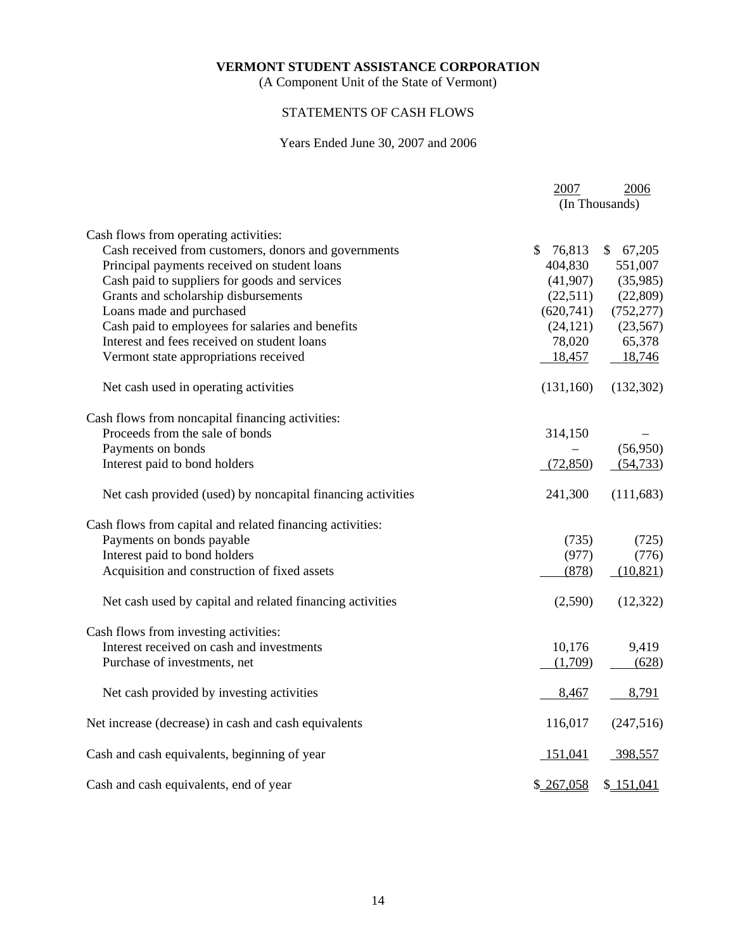(A Component Unit of the State of Vermont)

# STATEMENTS OF CASH FLOWS

# Years Ended June 30, 2007 and 2006

|                                                             | 2007         | 2006           |
|-------------------------------------------------------------|--------------|----------------|
|                                                             |              | (In Thousands) |
| Cash flows from operating activities:                       |              |                |
| Cash received from customers, donors and governments        | 76,813<br>\$ | \$67,205       |
| Principal payments received on student loans                | 404,830      | 551,007        |
| Cash paid to suppliers for goods and services               | (41,907)     | (35,985)       |
| Grants and scholarship disbursements                        | (22,511)     | (22,809)       |
| Loans made and purchased                                    | (620, 741)   | (752, 277)     |
| Cash paid to employees for salaries and benefits            | (24, 121)    | (23, 567)      |
| Interest and fees received on student loans                 | 78,020       | 65,378         |
| Vermont state appropriations received                       | 18,457       | 18,746         |
| Net cash used in operating activities                       | (131, 160)   | (132,302)      |
| Cash flows from noncapital financing activities:            |              |                |
| Proceeds from the sale of bonds                             | 314,150      |                |
| Payments on bonds                                           |              | (56,950)       |
| Interest paid to bond holders                               | (72,850)     | (54, 733)      |
| Net cash provided (used) by noncapital financing activities | 241,300      | (111, 683)     |
| Cash flows from capital and related financing activities:   |              |                |
| Payments on bonds payable                                   | (735)        | (725)          |
| Interest paid to bond holders                               | (977)        | (776)          |
| Acquisition and construction of fixed assets                | (878)        | (10, 821)      |
| Net cash used by capital and related financing activities   | (2,590)      | (12, 322)      |
| Cash flows from investing activities:                       |              |                |
| Interest received on cash and investments                   | 10,176       | 9,419          |
| Purchase of investments, net                                | (1,709)      | (628)          |
| Net cash provided by investing activities                   | 8,467        | 8,791          |
| Net increase (decrease) in cash and cash equivalents        | 116,017      | (247,516)      |
| Cash and cash equivalents, beginning of year                | 151,041      | 398,557        |
| Cash and cash equivalents, end of year                      | \$267,058    | \$151,041      |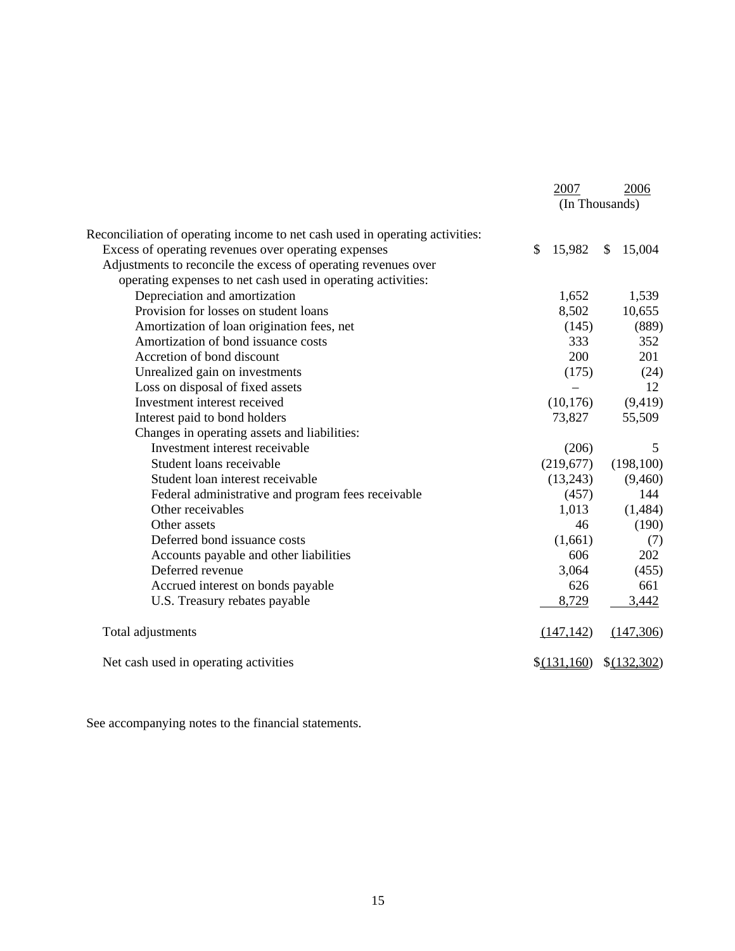|                                                                              | 2007         | 2006           |
|------------------------------------------------------------------------------|--------------|----------------|
|                                                                              |              | (In Thousands) |
| Reconciliation of operating income to net cash used in operating activities: |              |                |
| Excess of operating revenues over operating expenses                         | \$<br>15,982 | \$<br>15,004   |
| Adjustments to reconcile the excess of operating revenues over               |              |                |
| operating expenses to net cash used in operating activities:                 |              |                |
| Depreciation and amortization                                                | 1,652        | 1,539          |
| Provision for losses on student loans                                        | 8,502        | 10,655         |
| Amortization of loan origination fees, net                                   | (145)        | (889)          |
| Amortization of bond issuance costs                                          | 333          | 352            |
| Accretion of bond discount                                                   | 200          | 201            |
| Unrealized gain on investments                                               | (175)        | (24)           |
| Loss on disposal of fixed assets                                             |              | 12             |
| Investment interest received                                                 | (10, 176)    | (9, 419)       |
| Interest paid to bond holders                                                | 73,827       | 55,509         |
| Changes in operating assets and liabilities:                                 |              |                |
| Investment interest receivable                                               | (206)        | 5              |
| Student loans receivable                                                     | (219,677)    | (198, 100)     |
| Student loan interest receivable                                             | (13,243)     | (9,460)        |
| Federal administrative and program fees receivable                           | (457)        | 144            |
| Other receivables                                                            | 1,013        | (1,484)        |
| Other assets                                                                 | 46           | (190)          |
| Deferred bond issuance costs                                                 | (1,661)      | (7)            |
| Accounts payable and other liabilities                                       | 606          | 202            |
| Deferred revenue                                                             | 3,064        | (455)          |
| Accrued interest on bonds payable                                            | 626          | 661            |
| U.S. Treasury rebates payable                                                | 8,729        | 3,442          |
| Total adjustments                                                            | (147, 142)   | (147,306)      |
| Net cash used in operating activities                                        | \$(131,160)  | $$$ (132,302)  |

See accompanying notes to the financial statements.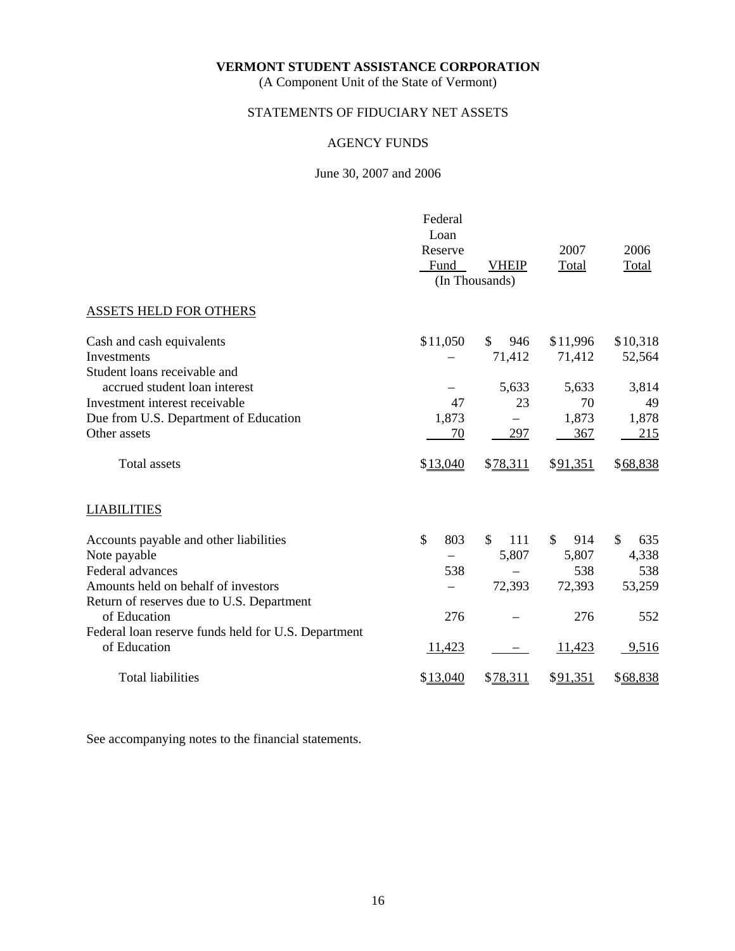(A Component Unit of the State of Vermont)

# STATEMENTS OF FIDUCIARY NET ASSETS

# AGENCY FUNDS

### June 30, 2007 and 2006

|                                                                     | Federal<br>Loan<br>Reserve<br>Fund | <b>VHEIP</b><br>(In Thousands) | 2007<br>Total | 2006<br>Total       |
|---------------------------------------------------------------------|------------------------------------|--------------------------------|---------------|---------------------|
| <b>ASSETS HELD FOR OTHERS</b>                                       |                                    |                                |               |                     |
|                                                                     |                                    |                                |               |                     |
| Cash and cash equivalents                                           | \$11,050                           | \$.<br>946                     | \$11,996      | \$10,318            |
| Investments                                                         |                                    | 71,412                         | 71,412        | 52,564              |
| Student loans receivable and                                        |                                    |                                |               |                     |
| accrued student loan interest<br>Investment interest receivable     | 47                                 | 5,633<br>23                    | 5,633<br>70   | 3,814<br>49         |
| Due from U.S. Department of Education                               | 1,873                              |                                | 1,873         | 1,878               |
| Other assets                                                        | 70                                 | 297                            | 367           | 215                 |
| <b>Total assets</b>                                                 | \$13,040                           | \$78,311                       | \$91,351      | \$68,838            |
| <b>LIABILITIES</b>                                                  |                                    |                                |               |                     |
| Accounts payable and other liabilities                              | \$<br>803                          | $\mathbb{S}$<br>111            | \$.<br>914    | $\mathbb{S}$<br>635 |
| Note payable                                                        |                                    | 5,807                          | 5,807         | 4,338               |
| Federal advances                                                    | 538                                |                                | 538           | 538                 |
| Amounts held on behalf of investors                                 |                                    | 72,393                         | 72,393        | 53,259              |
| Return of reserves due to U.S. Department                           |                                    |                                |               |                     |
| of Education                                                        | 276                                |                                | 276           | 552                 |
| Federal loan reserve funds held for U.S. Department<br>of Education | 11,423                             |                                | 11,423        | 9,516               |
| <b>Total liabilities</b>                                            | \$13,040                           | \$78,311                       | \$91,351      | \$68,838            |

See accompanying notes to the financial statements.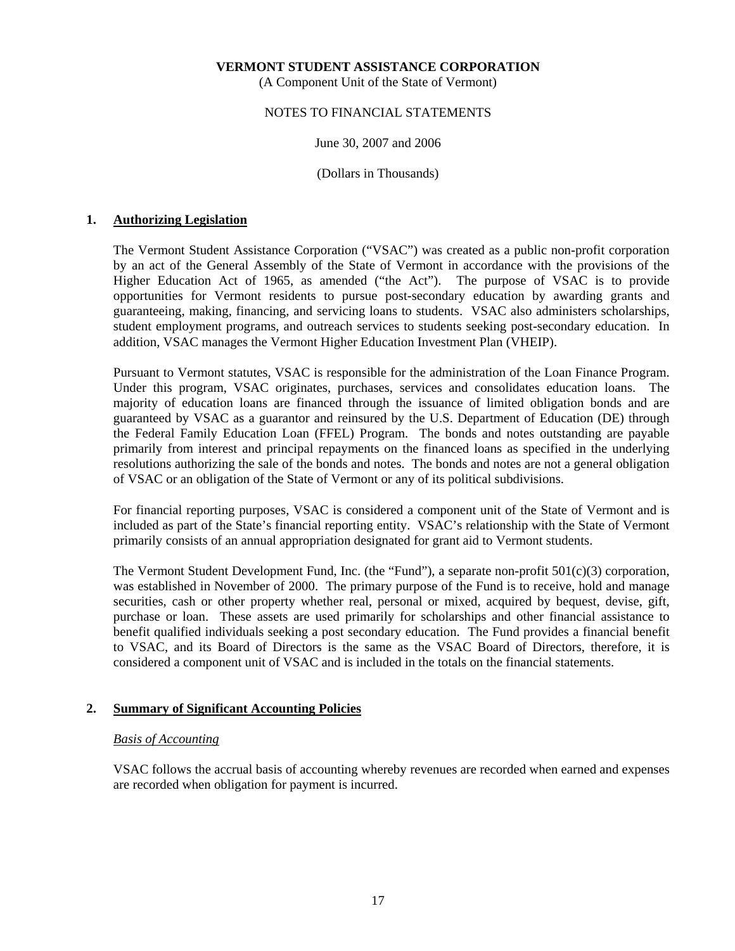(A Component Unit of the State of Vermont)

### NOTES TO FINANCIAL STATEMENTS

### June 30, 2007 and 2006

(Dollars in Thousands)

### **1. Authorizing Legislation**

 The Vermont Student Assistance Corporation ("VSAC") was created as a public non-profit corporation by an act of the General Assembly of the State of Vermont in accordance with the provisions of the Higher Education Act of 1965, as amended ("the Act"). The purpose of VSAC is to provide opportunities for Vermont residents to pursue post-secondary education by awarding grants and guaranteeing, making, financing, and servicing loans to students. VSAC also administers scholarships, student employment programs, and outreach services to students seeking post-secondary education. In addition, VSAC manages the Vermont Higher Education Investment Plan (VHEIP).

 Pursuant to Vermont statutes, VSAC is responsible for the administration of the Loan Finance Program. Under this program, VSAC originates, purchases, services and consolidates education loans. The majority of education loans are financed through the issuance of limited obligation bonds and are guaranteed by VSAC as a guarantor and reinsured by the U.S. Department of Education (DE) through the Federal Family Education Loan (FFEL) Program. The bonds and notes outstanding are payable primarily from interest and principal repayments on the financed loans as specified in the underlying resolutions authorizing the sale of the bonds and notes. The bonds and notes are not a general obligation of VSAC or an obligation of the State of Vermont or any of its political subdivisions.

 For financial reporting purposes, VSAC is considered a component unit of the State of Vermont and is included as part of the State's financial reporting entity. VSAC's relationship with the State of Vermont primarily consists of an annual appropriation designated for grant aid to Vermont students.

 The Vermont Student Development Fund, Inc. (the "Fund"), a separate non-profit 501(c)(3) corporation, was established in November of 2000. The primary purpose of the Fund is to receive, hold and manage securities, cash or other property whether real, personal or mixed, acquired by bequest, devise, gift, purchase or loan. These assets are used primarily for scholarships and other financial assistance to benefit qualified individuals seeking a post secondary education. The Fund provides a financial benefit to VSAC, and its Board of Directors is the same as the VSAC Board of Directors, therefore, it is considered a component unit of VSAC and is included in the totals on the financial statements.

### **2. Summary of Significant Accounting Policies**

### *Basis of Accounting*

 VSAC follows the accrual basis of accounting whereby revenues are recorded when earned and expenses are recorded when obligation for payment is incurred.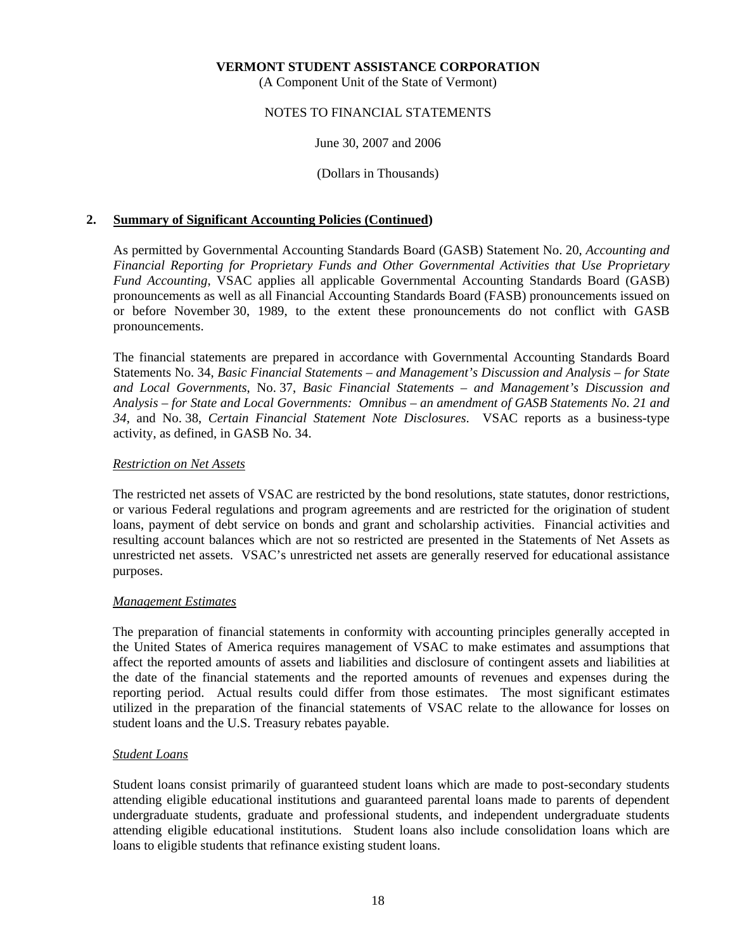(A Component Unit of the State of Vermont)

### NOTES TO FINANCIAL STATEMENTS

### June 30, 2007 and 2006

(Dollars in Thousands)

### **2. Summary of Significant Accounting Policies (Continued)**

 As permitted by Governmental Accounting Standards Board (GASB) Statement No. 20, *Accounting and Financial Reporting for Proprietary Funds and Other Governmental Activities that Use Proprietary Fund Accounting*, VSAC applies all applicable Governmental Accounting Standards Board (GASB) pronouncements as well as all Financial Accounting Standards Board (FASB) pronouncements issued on or before November 30, 1989, to the extent these pronouncements do not conflict with GASB pronouncements.

 The financial statements are prepared in accordance with Governmental Accounting Standards Board Statements No. 34, *Basic Financial Statements – and Management's Discussion and Analysis – for State and Local Governments*, No. 37, *Basic Financial Statements – and Management's Discussion and Analysis – for State and Local Governments: Omnibus – an amendment of GASB Statements No. 21 and 34*, and No. 38, *Certain Financial Statement Note Disclosures*. VSAC reports as a business-type activity, as defined, in GASB No. 34.

### *Restriction on Net Assets*

 The restricted net assets of VSAC are restricted by the bond resolutions, state statutes, donor restrictions, or various Federal regulations and program agreements and are restricted for the origination of student loans, payment of debt service on bonds and grant and scholarship activities. Financial activities and resulting account balances which are not so restricted are presented in the Statements of Net Assets as unrestricted net assets. VSAC's unrestricted net assets are generally reserved for educational assistance purposes.

### *Management Estimates*

 The preparation of financial statements in conformity with accounting principles generally accepted in the United States of America requires management of VSAC to make estimates and assumptions that affect the reported amounts of assets and liabilities and disclosure of contingent assets and liabilities at the date of the financial statements and the reported amounts of revenues and expenses during the reporting period. Actual results could differ from those estimates. The most significant estimates utilized in the preparation of the financial statements of VSAC relate to the allowance for losses on student loans and the U.S. Treasury rebates payable.

### *Student Loans*

 Student loans consist primarily of guaranteed student loans which are made to post-secondary students attending eligible educational institutions and guaranteed parental loans made to parents of dependent undergraduate students, graduate and professional students, and independent undergraduate students attending eligible educational institutions. Student loans also include consolidation loans which are loans to eligible students that refinance existing student loans.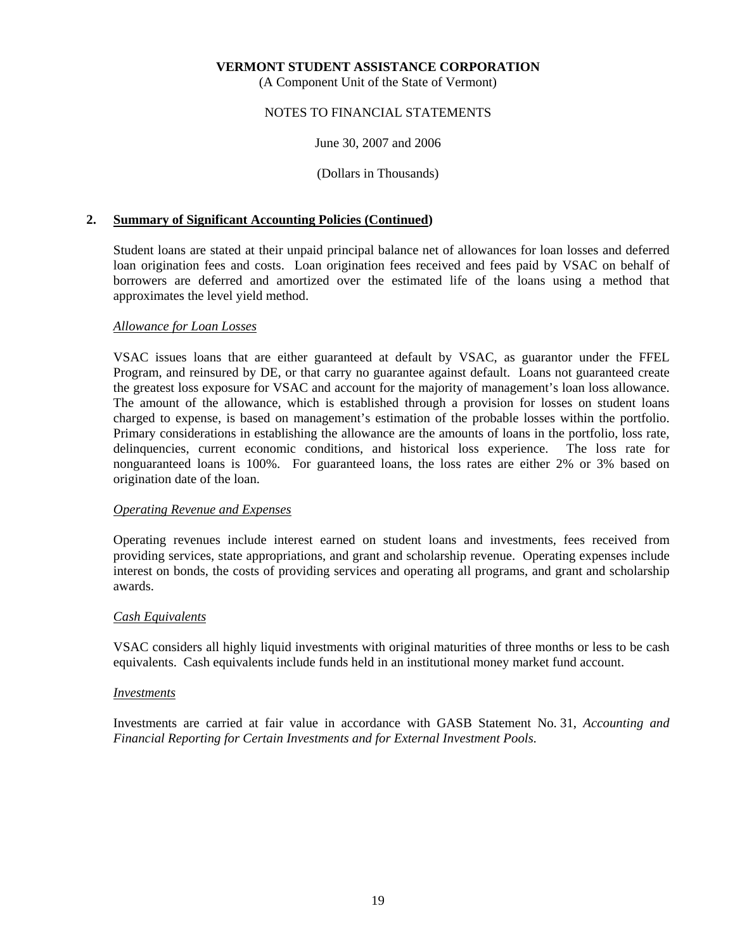(A Component Unit of the State of Vermont)

### NOTES TO FINANCIAL STATEMENTS

### June 30, 2007 and 2006

(Dollars in Thousands)

### **2. Summary of Significant Accounting Policies (Continued)**

 Student loans are stated at their unpaid principal balance net of allowances for loan losses and deferred loan origination fees and costs. Loan origination fees received and fees paid by VSAC on behalf of borrowers are deferred and amortized over the estimated life of the loans using a method that approximates the level yield method.

### *Allowance for Loan Losses*

 VSAC issues loans that are either guaranteed at default by VSAC, as guarantor under the FFEL Program, and reinsured by DE, or that carry no guarantee against default. Loans not guaranteed create the greatest loss exposure for VSAC and account for the majority of management's loan loss allowance. The amount of the allowance, which is established through a provision for losses on student loans charged to expense, is based on management's estimation of the probable losses within the portfolio. Primary considerations in establishing the allowance are the amounts of loans in the portfolio, loss rate, delinquencies, current economic conditions, and historical loss experience. The loss rate for nonguaranteed loans is 100%. For guaranteed loans, the loss rates are either 2% or 3% based on origination date of the loan.

### *Operating Revenue and Expenses*

 Operating revenues include interest earned on student loans and investments, fees received from providing services, state appropriations, and grant and scholarship revenue. Operating expenses include interest on bonds, the costs of providing services and operating all programs, and grant and scholarship awards.

### *Cash Equivalents*

 VSAC considers all highly liquid investments with original maturities of three months or less to be cash equivalents. Cash equivalents include funds held in an institutional money market fund account.

### *Investments*

 Investments are carried at fair value in accordance with GASB Statement No. 31, *Accounting and Financial Reporting for Certain Investments and for External Investment Pools*.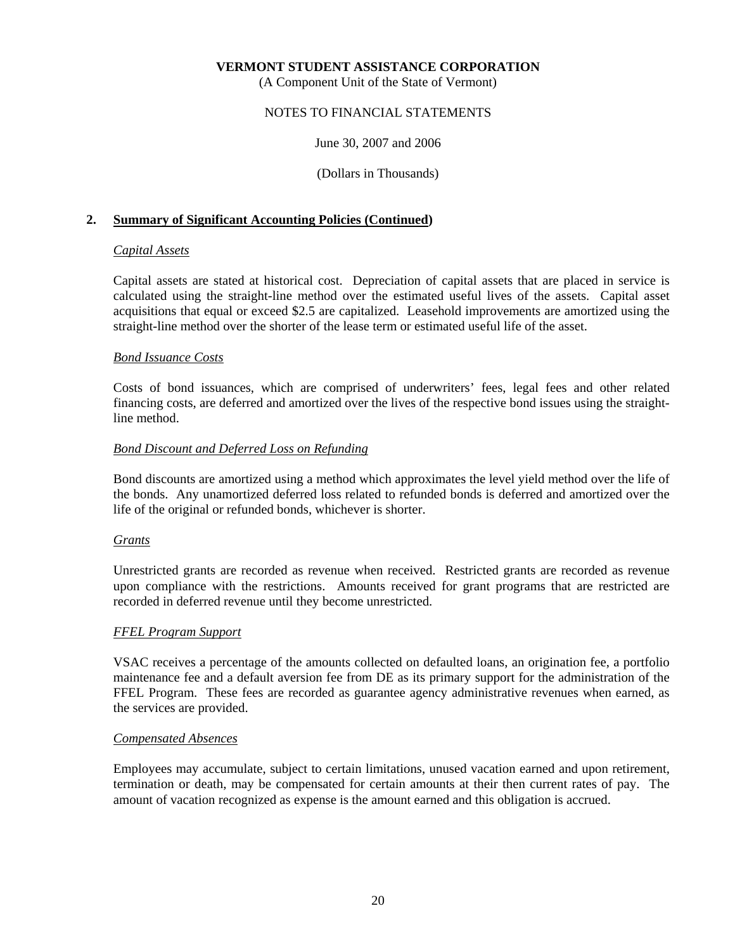(A Component Unit of the State of Vermont)

### NOTES TO FINANCIAL STATEMENTS

### June 30, 2007 and 2006

(Dollars in Thousands)

### **2. Summary of Significant Accounting Policies (Continued)**

### *Capital Assets*

 Capital assets are stated at historical cost. Depreciation of capital assets that are placed in service is calculated using the straight-line method over the estimated useful lives of the assets. Capital asset acquisitions that equal or exceed \$2.5 are capitalized. Leasehold improvements are amortized using the straight-line method over the shorter of the lease term or estimated useful life of the asset.

### *Bond Issuance Costs*

 Costs of bond issuances, which are comprised of underwriters' fees, legal fees and other related financing costs, are deferred and amortized over the lives of the respective bond issues using the straightline method.

### *Bond Discount and Deferred Loss on Refunding*

 Bond discounts are amortized using a method which approximates the level yield method over the life of the bonds. Any unamortized deferred loss related to refunded bonds is deferred and amortized over the life of the original or refunded bonds, whichever is shorter.

### *Grants*

 Unrestricted grants are recorded as revenue when received. Restricted grants are recorded as revenue upon compliance with the restrictions. Amounts received for grant programs that are restricted are recorded in deferred revenue until they become unrestricted.

### *FFEL Program Support*

 VSAC receives a percentage of the amounts collected on defaulted loans, an origination fee, a portfolio maintenance fee and a default aversion fee from DE as its primary support for the administration of the FFEL Program. These fees are recorded as guarantee agency administrative revenues when earned, as the services are provided.

### *Compensated Absences*

 Employees may accumulate, subject to certain limitations, unused vacation earned and upon retirement, termination or death, may be compensated for certain amounts at their then current rates of pay. The amount of vacation recognized as expense is the amount earned and this obligation is accrued.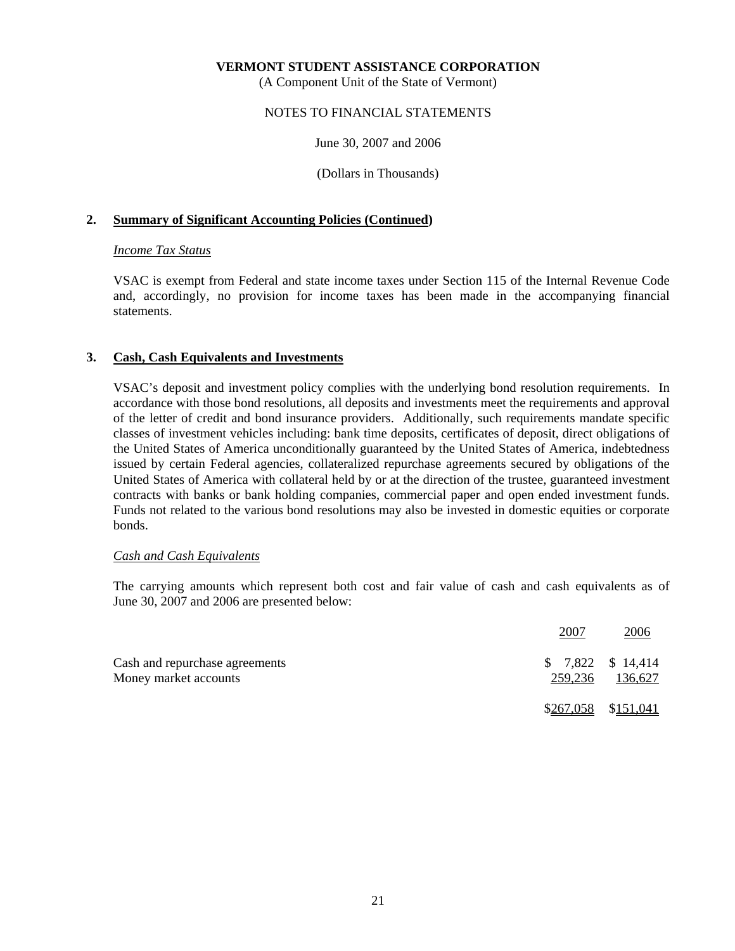(A Component Unit of the State of Vermont)

### NOTES TO FINANCIAL STATEMENTS

June 30, 2007 and 2006

(Dollars in Thousands)

### **2. Summary of Significant Accounting Policies (Continued)**

### *Income Tax Status*

 VSAC is exempt from Federal and state income taxes under Section 115 of the Internal Revenue Code and, accordingly, no provision for income taxes has been made in the accompanying financial statements.

### **3. Cash, Cash Equivalents and Investments**

 VSAC's deposit and investment policy complies with the underlying bond resolution requirements. In accordance with those bond resolutions, all deposits and investments meet the requirements and approval of the letter of credit and bond insurance providers. Additionally, such requirements mandate specific classes of investment vehicles including: bank time deposits, certificates of deposit, direct obligations of the United States of America unconditionally guaranteed by the United States of America, indebtedness issued by certain Federal agencies, collateralized repurchase agreements secured by obligations of the United States of America with collateral held by or at the direction of the trustee, guaranteed investment contracts with banks or bank holding companies, commercial paper and open ended investment funds. Funds not related to the various bond resolutions may also be invested in domestic equities or corporate bonds.

### *Cash and Cash Equivalents*

 The carrying amounts which represent both cost and fair value of cash and cash equivalents as of June 30, 2007 and 2006 are presented below:

|                                                         | 2007                          | 2006                  |
|---------------------------------------------------------|-------------------------------|-----------------------|
| Cash and repurchase agreements<br>Money market accounts | $$7,822$ $$14,414$<br>259,236 | 136,627               |
|                                                         |                               | $$267,058$ $$151,041$ |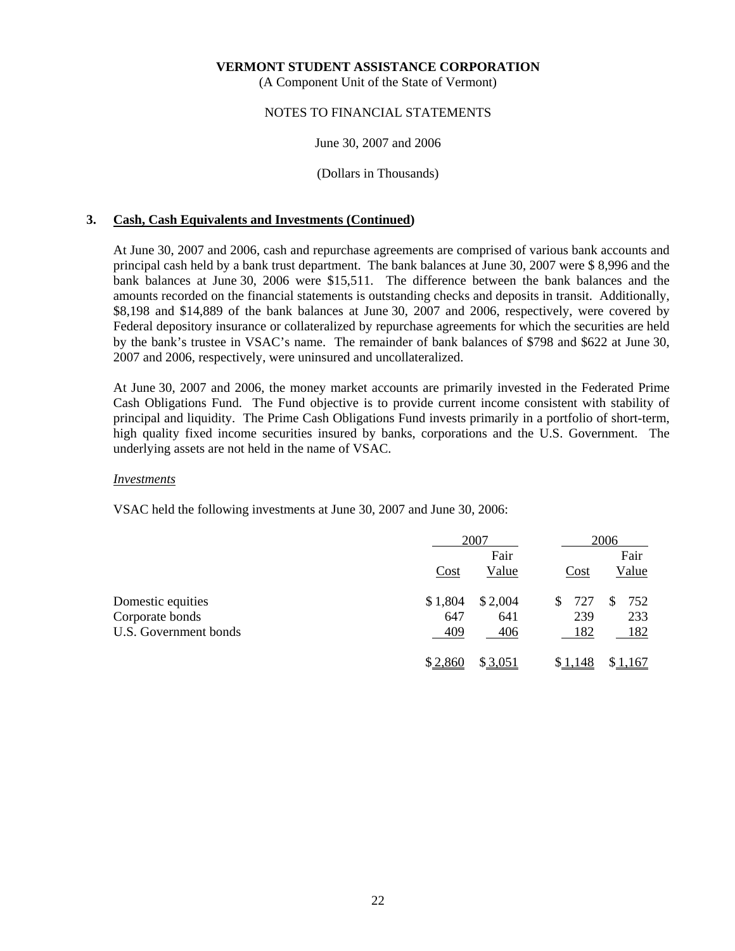(A Component Unit of the State of Vermont)

### NOTES TO FINANCIAL STATEMENTS

### June 30, 2007 and 2006

### (Dollars in Thousands)

### **3. Cash, Cash Equivalents and Investments (Continued)**

 At June 30, 2007 and 2006, cash and repurchase agreements are comprised of various bank accounts and principal cash held by a bank trust department. The bank balances at June 30, 2007 were \$ 8,996 and the bank balances at June 30, 2006 were \$15,511. The difference between the bank balances and the amounts recorded on the financial statements is outstanding checks and deposits in transit. Additionally, \$8,198 and \$14,889 of the bank balances at June 30, 2007 and 2006, respectively, were covered by Federal depository insurance or collateralized by repurchase agreements for which the securities are held by the bank's trustee in VSAC's name. The remainder of bank balances of \$798 and \$622 at June 30, 2007 and 2006, respectively, were uninsured and uncollateralized.

 At June 30, 2007 and 2006, the money market accounts are primarily invested in the Federated Prime Cash Obligations Fund. The Fund objective is to provide current income consistent with stability of principal and liquidity. The Prime Cash Obligations Fund invests primarily in a portfolio of short-term, high quality fixed income securities insured by banks, corporations and the U.S. Government. The underlying assets are not held in the name of VSAC.

### *Investments*

VSAC held the following investments at June 30, 2007 and June 30, 2006:

|                       |         | 2007    |          | 2006    |  |
|-----------------------|---------|---------|----------|---------|--|
|                       |         | Fair    |          | Fair    |  |
|                       | Cost    | Value   | Cost     | Value   |  |
| Domestic equities     | \$1,804 | \$2,004 | 727<br>S | 752     |  |
| Corporate bonds       | 647     | 641     | 239      | 233     |  |
| U.S. Government bonds | 409     | 406     | 182      | 182     |  |
|                       | \$2,860 | \$3,051 | \$1,148  | \$1,167 |  |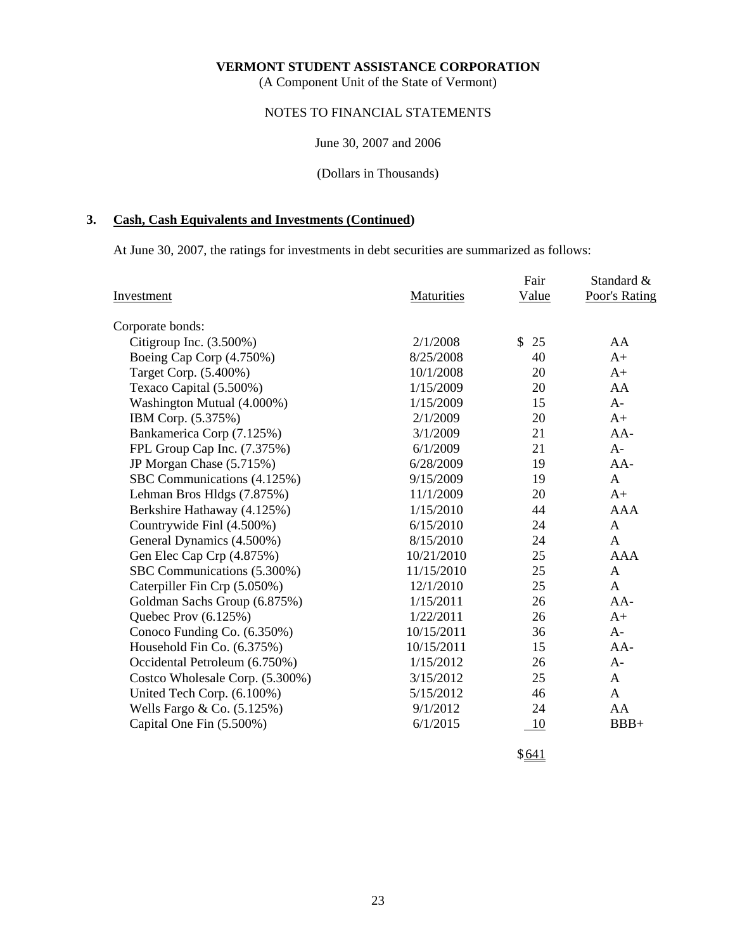(A Component Unit of the State of Vermont)

# NOTES TO FINANCIAL STATEMENTS

June 30, 2007 and 2006

(Dollars in Thousands)

# **3. Cash, Cash Equivalents and Investments (Continued)**

At June 30, 2007, the ratings for investments in debt securities are summarized as follows:

|                                 |            | Fair     | Standard &    |
|---------------------------------|------------|----------|---------------|
| Investment                      | Maturities | Value    | Poor's Rating |
| Corporate bonds:                |            |          |               |
| Citigroup Inc. $(3.500\%)$      | 2/1/2008   | \$<br>25 | AA            |
| Boeing Cap Corp (4.750%)        | 8/25/2008  | 40       | $A+$          |
| Target Corp. (5.400%)           | 10/1/2008  | 20       | $A+$          |
| Texaco Capital (5.500%)         | 1/15/2009  | 20       | AA            |
| Washington Mutual (4.000%)      | 1/15/2009  | 15       | $A -$         |
| IBM Corp. (5.375%)              | 2/1/2009   | 20       | $A+$          |
| Bankamerica Corp (7.125%)       | 3/1/2009   | 21       | $AA-$         |
| FPL Group Cap Inc. (7.375%)     | 6/1/2009   | 21       | $A -$         |
| JP Morgan Chase (5.715%)        | 6/28/2009  | 19       | $AA-$         |
| SBC Communications (4.125%)     | 9/15/2009  | 19       | A             |
| Lehman Bros Hldgs (7.875%)      | 11/1/2009  | 20       | $A+$          |
| Berkshire Hathaway (4.125%)     | 1/15/2010  | 44       | <b>AAA</b>    |
| Countrywide Finl (4.500%)       | 6/15/2010  | 24       | A             |
| General Dynamics (4.500%)       | 8/15/2010  | 24       | A             |
| Gen Elec Cap Crp (4.875%)       | 10/21/2010 | 25       | <b>AAA</b>    |
| SBC Communications (5.300%)     | 11/15/2010 | 25       | $\mathbf{A}$  |
| Caterpiller Fin Crp (5.050%)    | 12/1/2010  | 25       | A             |
| Goldman Sachs Group (6.875%)    | 1/15/2011  | 26       | $AA-$         |
| Quebec Prov (6.125%)            | 1/22/2011  | 26       | $A+$          |
| Conoco Funding Co. (6.350%)     | 10/15/2011 | 36       | $A-$          |
| Household Fin Co. (6.375%)      | 10/15/2011 | 15       | $AA-$         |
| Occidental Petroleum (6.750%)   | 1/15/2012  | 26       | $A-$          |
| Costco Wholesale Corp. (5.300%) | 3/15/2012  | 25       | $\mathsf{A}$  |
| United Tech Corp. (6.100%)      | 5/15/2012  | 46       | A             |
| Wells Fargo & Co. (5.125%)      | 9/1/2012   | 24       | AA            |
| Capital One Fin (5.500%)        | 6/1/2015   | 10       | $BBB+$        |
|                                 |            |          |               |

 $$641$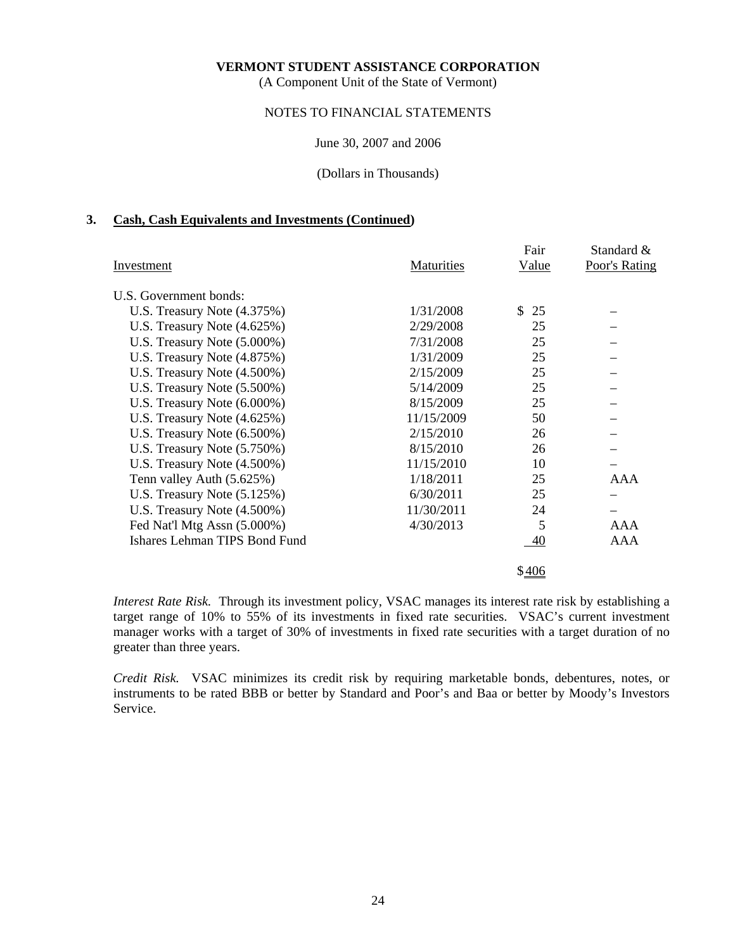(A Component Unit of the State of Vermont)

# NOTES TO FINANCIAL STATEMENTS

#### June 30, 2007 and 2006

(Dollars in Thousands)

#### **3. Cash, Cash Equivalents and Investments (Continued)**

|                                |            | Fair      | Standard &    |
|--------------------------------|------------|-----------|---------------|
| Investment                     | Maturities | Value     | Poor's Rating |
| U.S. Government bonds:         |            |           |               |
| U.S. Treasury Note (4.375%)    | 1/31/2008  | \$.<br>25 |               |
| U.S. Treasury Note $(4.625\%)$ | 2/29/2008  | 25        |               |
| U.S. Treasury Note (5.000%)    | 7/31/2008  | 25        |               |
| U.S. Treasury Note (4.875%)    | 1/31/2009  | 25        |               |
| U.S. Treasury Note (4.500%)    | 2/15/2009  | 25        |               |
| U.S. Treasury Note (5.500%)    | 5/14/2009  | 25        |               |
| U.S. Treasury Note $(6.000\%)$ | 8/15/2009  | 25        |               |
| U.S. Treasury Note $(4.625\%)$ | 11/15/2009 | 50        |               |
| U.S. Treasury Note $(6.500\%)$ | 2/15/2010  | 26        |               |
| U.S. Treasury Note (5.750%)    | 8/15/2010  | 26        |               |
| U.S. Treasury Note (4.500%)    | 11/15/2010 | 10        |               |
| Tenn valley Auth (5.625%)      | 1/18/2011  | 25        | <b>AAA</b>    |
| U.S. Treasury Note $(5.125%)$  | 6/30/2011  | 25        |               |
| U.S. Treasury Note (4.500%)    | 11/30/2011 | 24        |               |
| Fed Nat'l Mtg Assn (5.000%)    | 4/30/2013  | 5         | AAA           |
| Ishares Lehman TIPS Bond Fund  |            | 40        | <b>AAA</b>    |
|                                |            | \$406     |               |

*Interest Rate Risk.* Through its investment policy, VSAC manages its interest rate risk by establishing a target range of 10% to 55% of its investments in fixed rate securities. VSAC's current investment manager works with a target of 30% of investments in fixed rate securities with a target duration of no greater than three years.

*Credit Risk.* VSAC minimizes its credit risk by requiring marketable bonds, debentures, notes, or instruments to be rated BBB or better by Standard and Poor's and Baa or better by Moody's Investors Service.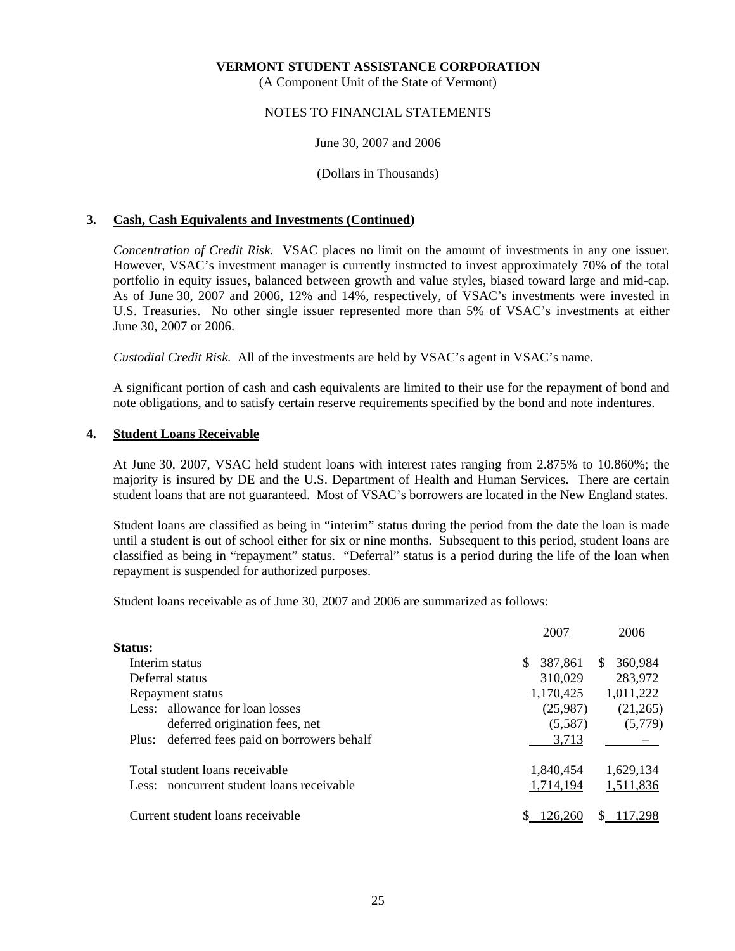(A Component Unit of the State of Vermont)

### NOTES TO FINANCIAL STATEMENTS

#### June 30, 2007 and 2006

(Dollars in Thousands)

### **3. Cash, Cash Equivalents and Investments (Continued)**

 *Concentration of Credit Risk*. VSAC places no limit on the amount of investments in any one issuer. However, VSAC's investment manager is currently instructed to invest approximately 70% of the total portfolio in equity issues, balanced between growth and value styles, biased toward large and mid-cap. As of June 30, 2007 and 2006, 12% and 14%, respectively, of VSAC's investments were invested in U.S. Treasuries. No other single issuer represented more than 5% of VSAC's investments at either June 30, 2007 or 2006.

*Custodial Credit Risk.* All of the investments are held by VSAC's agent in VSAC's name.

 A significant portion of cash and cash equivalents are limited to their use for the repayment of bond and note obligations, and to satisfy certain reserve requirements specified by the bond and note indentures.

### **4. Student Loans Receivable**

 At June 30, 2007, VSAC held student loans with interest rates ranging from 2.875% to 10.860%; the majority is insured by DE and the U.S. Department of Health and Human Services. There are certain student loans that are not guaranteed. Most of VSAC's borrowers are located in the New England states.

 Student loans are classified as being in "interim" status during the period from the date the loan is made until a student is out of school either for six or nine months. Subsequent to this period, student loans are classified as being in "repayment" status. "Deferral" status is a period during the life of the loan when repayment is suspended for authorized purposes.

Student loans receivable as of June 30, 2007 and 2006 are summarized as follows:

| 2007          | 2006           |
|---------------|----------------|
|               |                |
| 387,861<br>S. | 360,984<br>\$. |
| 310,029       | 283,972        |
| 1,170,425     | 1,011,222      |
| (25,987)      | (21,265)       |
| (5,587)       | (5,779)        |
| 3,713         |                |
| 1,840,454     | 1,629,134      |
| 1,714,194     | 1,511,836      |
| 126.260       |                |
|               |                |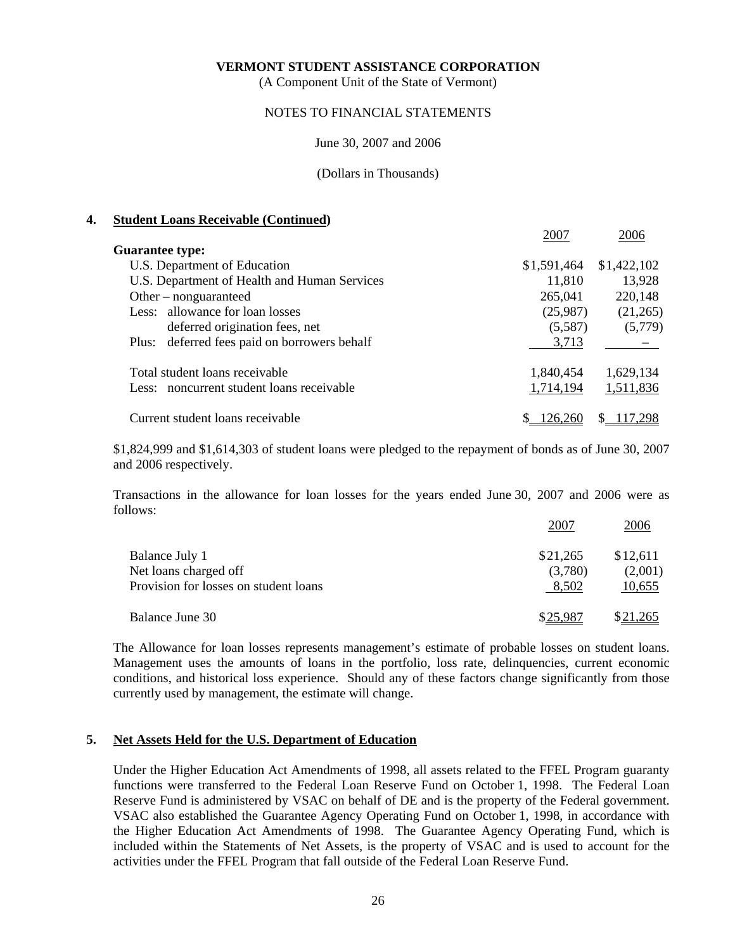(A Component Unit of the State of Vermont)

### NOTES TO FINANCIAL STATEMENTS

#### June 30, 2007 and 2006

### (Dollars in Thousands)

### **4. Student Loans Receivable (Continued)**

|                                              | 2007        | 2006        |
|----------------------------------------------|-------------|-------------|
| <b>Guarantee type:</b>                       |             |             |
| U.S. Department of Education                 | \$1,591,464 | \$1,422,102 |
| U.S. Department of Health and Human Services | 11,810      | 13,928      |
| Other – nonguaranteed                        | 265,041     | 220,148     |
| Less: allowance for loan losses              | (25,987)    | (21,265)    |
| deferred origination fees, net               | (5,587)     | (5,779)     |
| Plus: deferred fees paid on borrowers behalf | 3,713       |             |
| Total student loans receivable               | 1,840,454   | 1,629,134   |
| Less: noncurrent student loans receivable    | 1,714,194   | 1,511,836   |
| Current student loans receivable             | 126.260     |             |

 \$1,824,999 and \$1,614,303 of student loans were pledged to the repayment of bonds as of June 30, 2007 and 2006 respectively.

 Transactions in the allowance for loan losses for the years ended June 30, 2007 and 2006 were as follows:

|                                       | 2007     | 2006            |
|---------------------------------------|----------|-----------------|
| Balance July 1                        | \$21,265 | \$12,611        |
| Net loans charged off                 | (3,780)  | (2,001)         |
| Provision for losses on student loans | 8,502    | 10,655          |
| Balance June 30                       | \$25.987 | <u>\$21,265</u> |

 The Allowance for loan losses represents management's estimate of probable losses on student loans. Management uses the amounts of loans in the portfolio, loss rate, delinquencies, current economic conditions, and historical loss experience. Should any of these factors change significantly from those currently used by management, the estimate will change.

### **5. Net Assets Held for the U.S. Department of Education**

 Under the Higher Education Act Amendments of 1998, all assets related to the FFEL Program guaranty functions were transferred to the Federal Loan Reserve Fund on October 1, 1998. The Federal Loan Reserve Fund is administered by VSAC on behalf of DE and is the property of the Federal government. VSAC also established the Guarantee Agency Operating Fund on October 1, 1998, in accordance with the Higher Education Act Amendments of 1998. The Guarantee Agency Operating Fund, which is included within the Statements of Net Assets, is the property of VSAC and is used to account for the activities under the FFEL Program that fall outside of the Federal Loan Reserve Fund.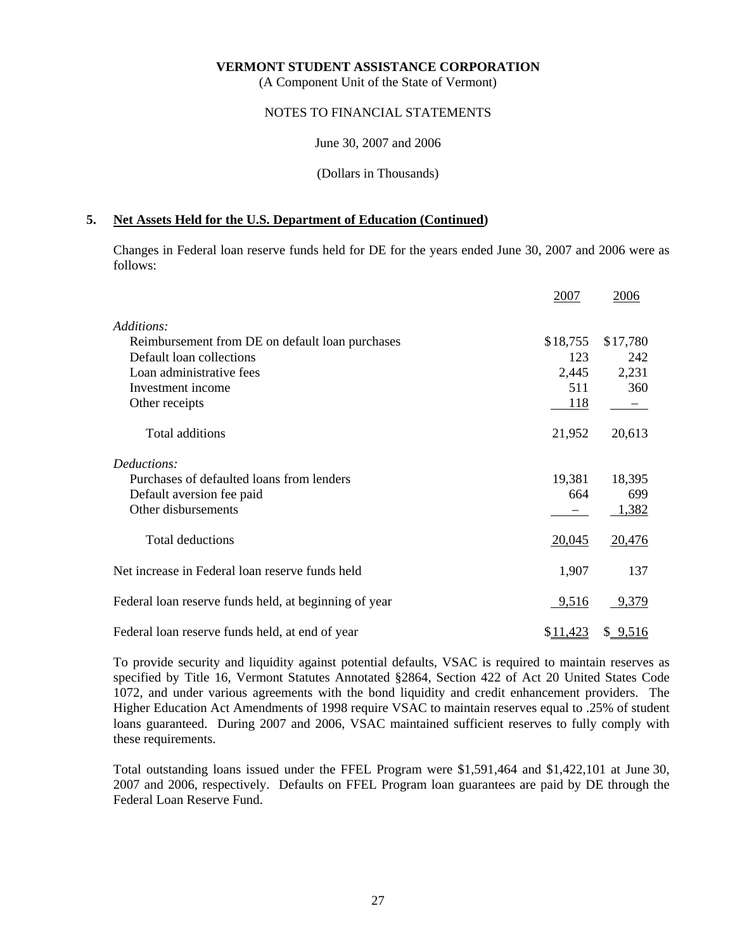(A Component Unit of the State of Vermont)

### NOTES TO FINANCIAL STATEMENTS

#### June 30, 2007 and 2006

(Dollars in Thousands)

### **5. Net Assets Held for the U.S. Department of Education (Continued)**

 Changes in Federal loan reserve funds held for DE for the years ended June 30, 2007 and 2006 were as follows:

|                                                       | 2007     | 2006     |
|-------------------------------------------------------|----------|----------|
| Additions:                                            |          |          |
| Reimbursement from DE on default loan purchases       | \$18,755 | \$17,780 |
| Default loan collections                              | 123      | 242      |
| Loan administrative fees                              | 2,445    | 2,231    |
| Investment income                                     | 511      | 360      |
| Other receipts                                        | 118      |          |
| Total additions                                       | 21,952   | 20,613   |
| Deductions:                                           |          |          |
| Purchases of defaulted loans from lenders             | 19,381   | 18,395   |
| Default aversion fee paid                             | 664      | 699      |
| Other disbursements                                   |          | 1,382    |
| <b>Total deductions</b>                               | 20,045   | 20,476   |
| Net increase in Federal loan reserve funds held       | 1,907    | 137      |
| Federal loan reserve funds held, at beginning of year | 9,516    | 9,379    |
| Federal loan reserve funds held, at end of year       | \$11,423 | \$9,516  |

 To provide security and liquidity against potential defaults, VSAC is required to maintain reserves as specified by Title 16, Vermont Statutes Annotated §2864, Section 422 of Act 20 United States Code 1072, and under various agreements with the bond liquidity and credit enhancement providers. The Higher Education Act Amendments of 1998 require VSAC to maintain reserves equal to .25% of student loans guaranteed. During 2007 and 2006, VSAC maintained sufficient reserves to fully comply with these requirements.

 Total outstanding loans issued under the FFEL Program were \$1,591,464 and \$1,422,101 at June 30, 2007 and 2006, respectively. Defaults on FFEL Program loan guarantees are paid by DE through the Federal Loan Reserve Fund.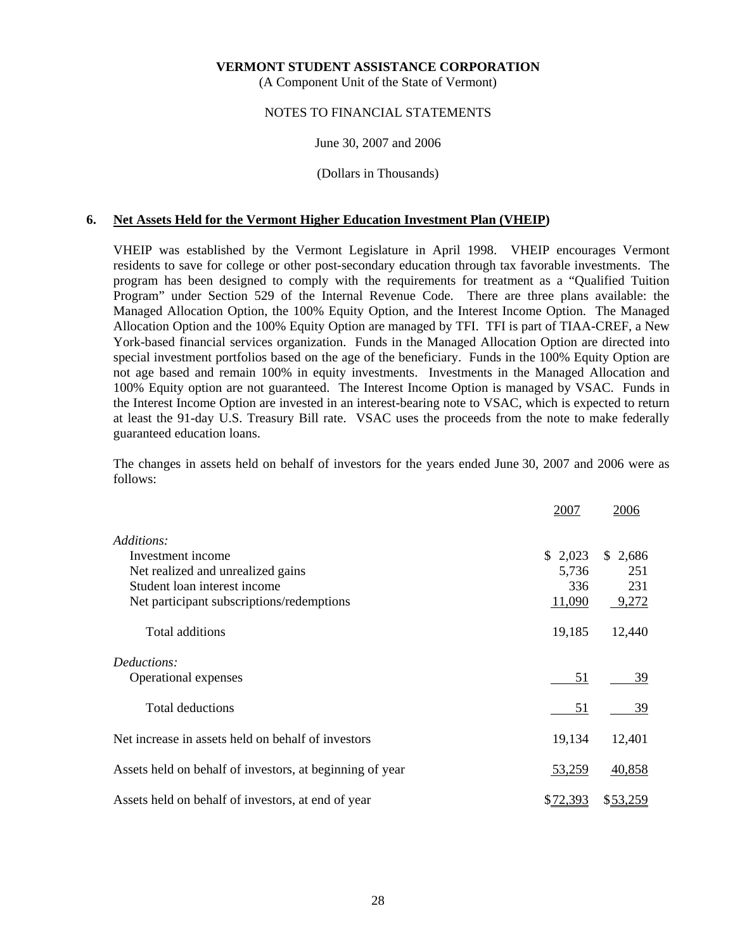(A Component Unit of the State of Vermont)

### NOTES TO FINANCIAL STATEMENTS

#### June 30, 2007 and 2006

#### (Dollars in Thousands)

### **6. Net Assets Held for the Vermont Higher Education Investment Plan (VHEIP)**

 VHEIP was established by the Vermont Legislature in April 1998. VHEIP encourages Vermont residents to save for college or other post-secondary education through tax favorable investments. The program has been designed to comply with the requirements for treatment as a "Qualified Tuition Program" under Section 529 of the Internal Revenue Code. There are three plans available: the Managed Allocation Option, the 100% Equity Option, and the Interest Income Option. The Managed Allocation Option and the 100% Equity Option are managed by TFI. TFI is part of TIAA-CREF, a New York-based financial services organization. Funds in the Managed Allocation Option are directed into special investment portfolios based on the age of the beneficiary. Funds in the 100% Equity Option are not age based and remain 100% in equity investments. Investments in the Managed Allocation and 100% Equity option are not guaranteed. The Interest Income Option is managed by VSAC. Funds in the Interest Income Option are invested in an interest-bearing note to VSAC, which is expected to return at least the 91-day U.S. Treasury Bill rate. VSAC uses the proceeds from the note to make federally guaranteed education loans.

 The changes in assets held on behalf of investors for the years ended June 30, 2007 and 2006 were as follows:

|                                                          | 2007     | 2006     |
|----------------------------------------------------------|----------|----------|
| Additions:                                               |          |          |
| Investment income                                        | \$2,023  | \$2,686  |
| Net realized and unrealized gains                        | 5,736    | 251      |
| Student loan interest income                             | 336      | 231      |
| Net participant subscriptions/redemptions                | 11,090   | 9,272    |
| Total additions                                          | 19,185   | 12,440   |
| Deductions:                                              |          |          |
| Operational expenses                                     | 51       | 39       |
| Total deductions                                         | 51       | 39       |
| Net increase in assets held on behalf of investors       | 19,134   | 12,401   |
| Assets held on behalf of investors, at beginning of year | 53,259   | 40,858   |
| Assets held on behalf of investors, at end of year       | \$72,393 | \$53,259 |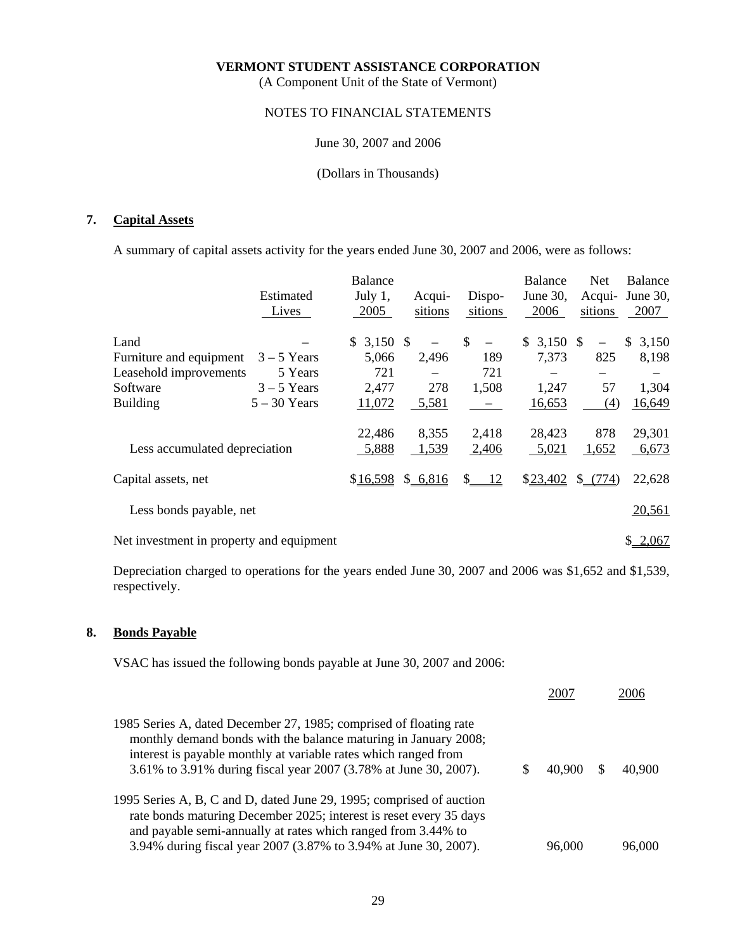(A Component Unit of the State of Vermont)

# NOTES TO FINANCIAL STATEMENTS

### June 30, 2007 and 2006

### (Dollars in Thousands)

# **7. Capital Assets**

A summary of capital assets activity for the years ended June 30, 2007 and 2006, were as follows:

|                                          |                | <b>Balance</b> |                    |                         | <b>Balance</b> | <b>Net</b> | Balance     |
|------------------------------------------|----------------|----------------|--------------------|-------------------------|----------------|------------|-------------|
|                                          | Estimated      | July $1,$      | Acqui-             | Dispo-                  | June $30$ ,    | Acqui-     | June 30,    |
|                                          | Lives          | 2005           | sitions            | sitions                 | 2006           | sitions    | 2007        |
| Land                                     |                | $$3,150$ \$    |                    | \$<br>$\qquad \qquad -$ | $$3,150$ \$    | $\equiv$   | 3,150<br>S. |
| Furniture and equipment                  | $3 - 5$ Years  | 5,066          | 2,496              | 189                     | 7,373          | 825        | 8,198       |
| Leasehold improvements                   | 5 Years        | 721            |                    | 721                     |                |            |             |
| Software                                 | $3 - 5$ Years  | 2,477          | 278                | 1,508                   | 1,247          | 57         | 1,304       |
| <b>Building</b>                          | $5 - 30$ Years | 11,072         | 5,581              |                         | 16,653         | (4)        | 16,649      |
|                                          |                | 22,486         | 8,355              | 2,418                   | 28,423         | 878        | 29,301      |
| Less accumulated depreciation            |                | 5,888          | 1,539              | 2,406                   | 5,021          | 1,652      | 6,673       |
| Capital assets, net                      |                |                | $$16,598$ \$ 6,816 | $\frac{12}{2}$          | \$23,402       | $$-(774)$  | 22,628      |
| Less bonds payable, net                  |                |                |                    |                         |                |            | 20,561      |
| Net investment in property and equipment |                |                |                    |                         |                |            | \$2,067     |

 Depreciation charged to operations for the years ended June 30, 2007 and 2006 was \$1,652 and \$1,539, respectively.

### **8. Bonds Payable**

VSAC has issued the following bonds payable at June 30, 2007 and 2006:

|                                                                                                                                                                                                                                                                              | 2007   | 2006   |
|------------------------------------------------------------------------------------------------------------------------------------------------------------------------------------------------------------------------------------------------------------------------------|--------|--------|
| 1985 Series A, dated December 27, 1985; comprised of floating rate<br>monthly demand bonds with the balance maturing in January 2008;<br>interest is payable monthly at variable rates which ranged from<br>3.61% to 3.91% during fiscal year 2007 (3.78% at June 30, 2007). | 40,900 | 40,900 |
| 1995 Series A, B, C and D, dated June 29, 1995; comprised of auction<br>rate bonds maturing December 2025; interest is reset every 35 days<br>and payable semi-annually at rates which ranged from 3.44% to                                                                  |        |        |
| 3.94% during fiscal year 2007 (3.87% to 3.94% at June 30, 2007).                                                                                                                                                                                                             | 96,000 | 96,000 |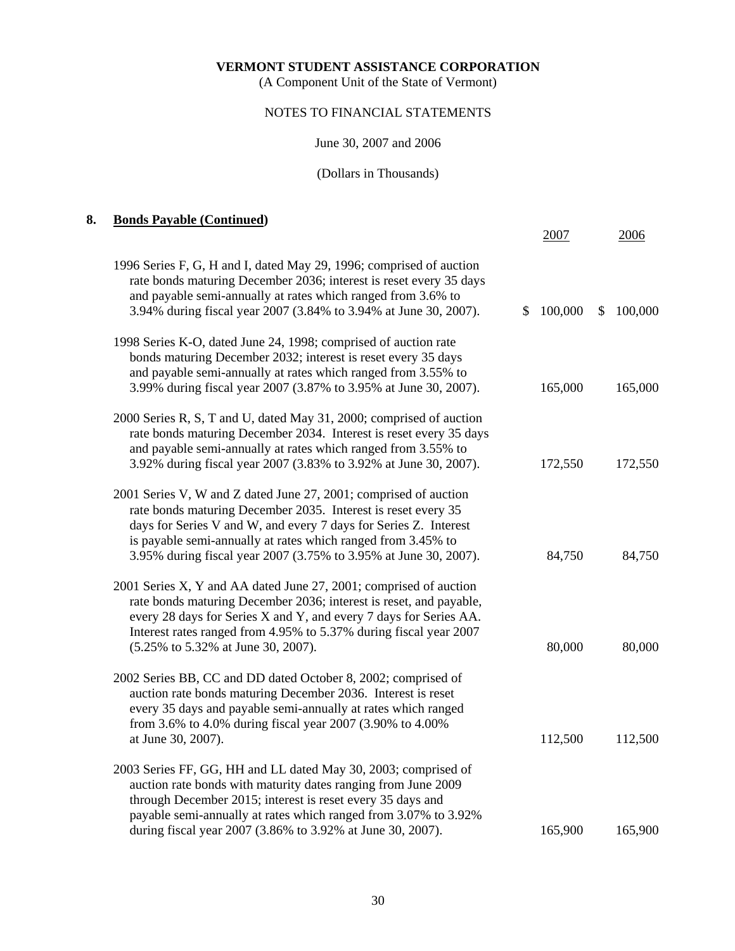(A Component Unit of the State of Vermont)

# NOTES TO FINANCIAL STATEMENTS

# June 30, 2007 and 2006

# (Dollars in Thousands)

# **8. Bonds Payable (Continued)**

|                                                                                                                                                                                                                                                                                                                                           | 2007          | 2006          |
|-------------------------------------------------------------------------------------------------------------------------------------------------------------------------------------------------------------------------------------------------------------------------------------------------------------------------------------------|---------------|---------------|
| 1996 Series F, G, H and I, dated May 29, 1996; comprised of auction<br>rate bonds maturing December 2036; interest is reset every 35 days<br>and payable semi-annually at rates which ranged from 3.6% to<br>3.94% during fiscal year 2007 (3.84% to 3.94% at June 30, 2007).                                                             | 100,000<br>S. | 100,000<br>S. |
| 1998 Series K-O, dated June 24, 1998; comprised of auction rate<br>bonds maturing December 2032; interest is reset every 35 days<br>and payable semi-annually at rates which ranged from 3.55% to<br>3.99% during fiscal year 2007 (3.87% to 3.95% at June 30, 2007).                                                                     | 165,000       | 165,000       |
| 2000 Series R, S, T and U, dated May 31, 2000; comprised of auction<br>rate bonds maturing December 2034. Interest is reset every 35 days<br>and payable semi-annually at rates which ranged from 3.55% to<br>3.92% during fiscal year 2007 (3.83% to 3.92% at June 30, 2007).                                                            | 172,550       | 172,550       |
| 2001 Series V, W and Z dated June 27, 2001; comprised of auction<br>rate bonds maturing December 2035. Interest is reset every 35<br>days for Series V and W, and every 7 days for Series Z. Interest<br>is payable semi-annually at rates which ranged from 3.45% to<br>3.95% during fiscal year 2007 (3.75% to 3.95% at June 30, 2007). | 84,750        | 84,750        |
| 2001 Series X, Y and AA dated June 27, 2001; comprised of auction<br>rate bonds maturing December 2036; interest is reset, and payable,<br>every 28 days for Series X and Y, and every 7 days for Series AA.<br>Interest rates ranged from 4.95% to 5.37% during fiscal year 2007<br>(5.25% to 5.32% at June 30, 2007).                   | 80,000        | 80,000        |
| 2002 Series BB, CC and DD dated October 8, 2002; comprised of<br>auction rate bonds maturing December 2036. Interest is reset<br>every 35 days and payable semi-annually at rates which ranged<br>from 3.6% to 4.0% during fiscal year 2007 (3.90% to 4.00%<br>at June 30, 2007).                                                         | 112,500       | 112,500       |
| 2003 Series FF, GG, HH and LL dated May 30, 2003; comprised of<br>auction rate bonds with maturity dates ranging from June 2009<br>through December 2015; interest is reset every 35 days and<br>payable semi-annually at rates which ranged from 3.07% to 3.92%                                                                          |               |               |
| during fiscal year 2007 (3.86% to 3.92% at June 30, 2007).                                                                                                                                                                                                                                                                                | 165,900       | 165,900       |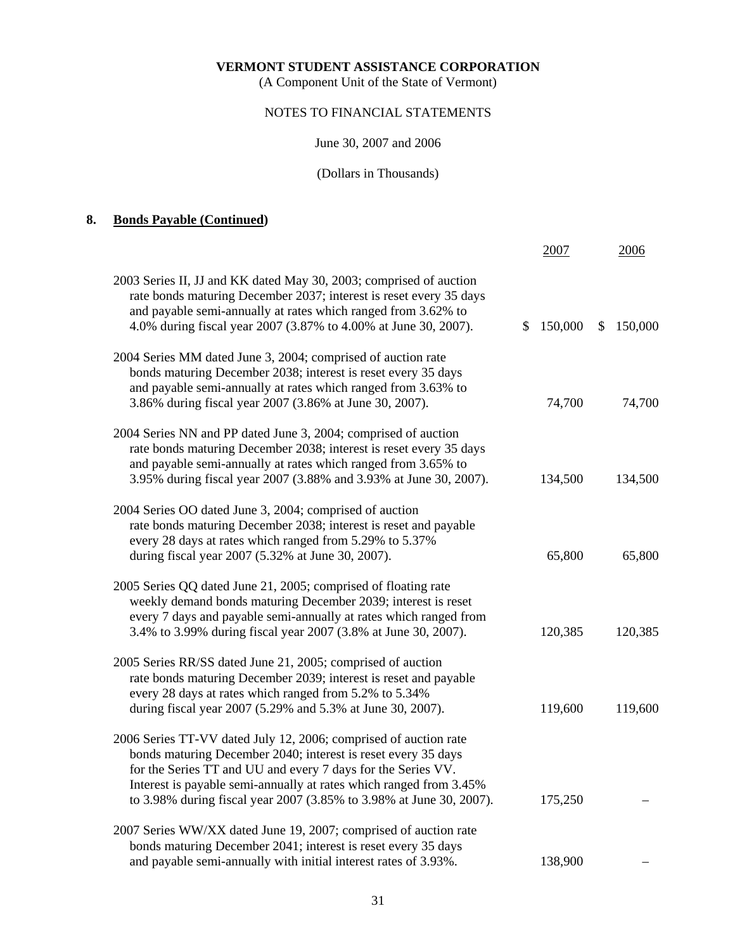(A Component Unit of the State of Vermont)

### NOTES TO FINANCIAL STATEMENTS

June 30, 2007 and 2006

# (Dollars in Thousands)

# **8. Bonds Payable (Continued)**

|                                                                                                                                                                                                                                                                              | 2007          | 2006                     |
|------------------------------------------------------------------------------------------------------------------------------------------------------------------------------------------------------------------------------------------------------------------------------|---------------|--------------------------|
| 2003 Series II, JJ and KK dated May 30, 2003; comprised of auction<br>rate bonds maturing December 2037; interest is reset every 35 days<br>and payable semi-annually at rates which ranged from 3.62% to<br>4.0% during fiscal year 2007 (3.87% to 4.00% at June 30, 2007). | 150,000<br>S. | $\mathcal{S}$<br>150,000 |
| 2004 Series MM dated June 3, 2004; comprised of auction rate<br>bonds maturing December 2038; interest is reset every 35 days<br>and payable semi-annually at rates which ranged from 3.63% to<br>3.86% during fiscal year 2007 (3.86% at June 30, 2007).                    | 74,700        | 74,700                   |
| 2004 Series NN and PP dated June 3, 2004; comprised of auction<br>rate bonds maturing December 2038; interest is reset every 35 days<br>and payable semi-annually at rates which ranged from 3.65% to<br>3.95% during fiscal year 2007 (3.88% and 3.93% at June 30, 2007).   | 134,500       | 134,500                  |
| 2004 Series OO dated June 3, 2004; comprised of auction<br>rate bonds maturing December 2038; interest is reset and payable<br>every 28 days at rates which ranged from 5.29% to 5.37%<br>during fiscal year 2007 (5.32% at June 30, 2007).                                  | 65,800        | 65,800                   |
| 2005 Series QQ dated June 21, 2005; comprised of floating rate<br>weekly demand bonds maturing December 2039; interest is reset<br>every 7 days and payable semi-annually at rates which ranged from<br>3.4% to 3.99% during fiscal year 2007 (3.8% at June 30, 2007).       | 120,385       | 120,385                  |
| 2005 Series RR/SS dated June 21, 2005; comprised of auction<br>rate bonds maturing December 2039; interest is reset and payable<br>every 28 days at rates which ranged from 5.2% to 5.34%<br>during fiscal year 2007 (5.29% and 5.3% at June 30, 2007).                      | 119,600       | 119,600                  |
| 2006 Series TT-VV dated July 12, 2006; comprised of auction rate<br>bonds maturing December 2040; interest is reset every 35 days<br>for the Series TT and UU and every 7 days for the Series VV.<br>Interest is payable semi-annually at rates which ranged from 3.45%      |               |                          |
| to 3.98% during fiscal year 2007 (3.85% to 3.98% at June 30, 2007).                                                                                                                                                                                                          | 175,250       |                          |
| 2007 Series WW/XX dated June 19, 2007; comprised of auction rate<br>bonds maturing December 2041; interest is reset every 35 days                                                                                                                                            |               |                          |
| and payable semi-annually with initial interest rates of 3.93%.                                                                                                                                                                                                              | 138,900       |                          |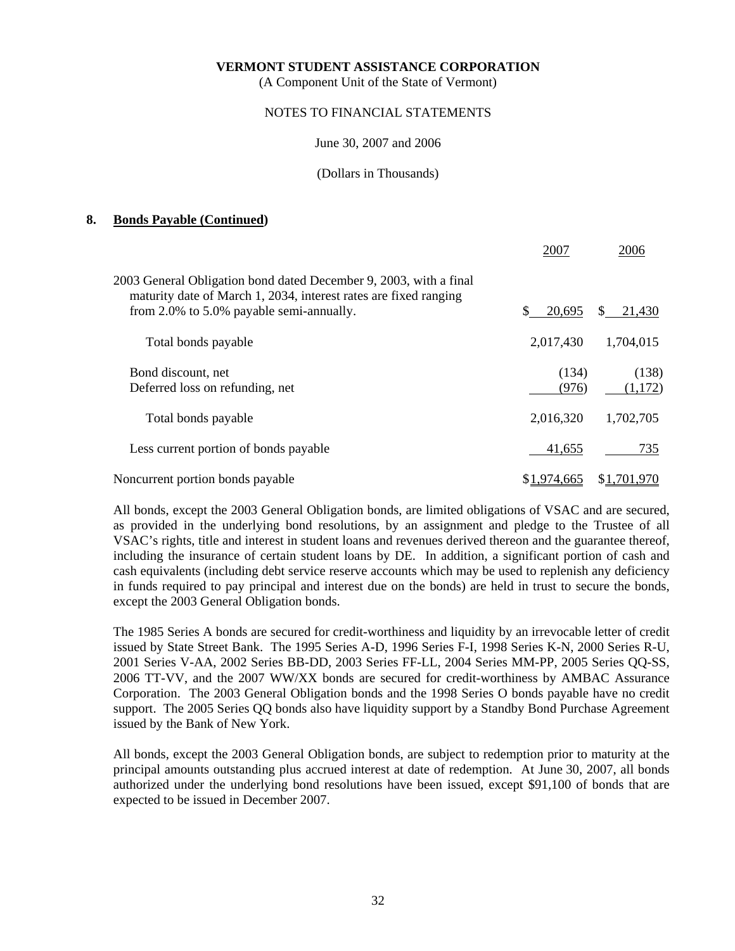(A Component Unit of the State of Vermont)

### NOTES TO FINANCIAL STATEMENTS

#### June 30, 2007 and 2006

#### (Dollars in Thousands)

### **8. Bonds Payable (Continued)**

|                                                                                                                                                                                   | 2007           | 2006             |
|-----------------------------------------------------------------------------------------------------------------------------------------------------------------------------------|----------------|------------------|
| 2003 General Obligation bond dated December 9, 2003, with a final<br>maturity date of March 1, 2034, interest rates are fixed ranging<br>from 2.0% to 5.0% payable semi-annually. | \$.<br>20,695  | 21,430<br>S.     |
| Total bonds payable                                                                                                                                                               | 2,017,430      | 1,704,015        |
| Bond discount, net<br>Deferred loss on refunding, net                                                                                                                             | (134)<br>(976) | (138)<br>(1,172) |
| Total bonds payable                                                                                                                                                               | 2,016,320      | 1,702,705        |
| Less current portion of bonds payable                                                                                                                                             | 41,655         | 735              |
| Noncurrent portion bonds payable                                                                                                                                                  | \$1,974,665    | \$1,701,970      |

 All bonds, except the 2003 General Obligation bonds, are limited obligations of VSAC and are secured, as provided in the underlying bond resolutions, by an assignment and pledge to the Trustee of all VSAC's rights, title and interest in student loans and revenues derived thereon and the guarantee thereof, including the insurance of certain student loans by DE. In addition, a significant portion of cash and cash equivalents (including debt service reserve accounts which may be used to replenish any deficiency in funds required to pay principal and interest due on the bonds) are held in trust to secure the bonds, except the 2003 General Obligation bonds.

 The 1985 Series A bonds are secured for credit-worthiness and liquidity by an irrevocable letter of credit issued by State Street Bank. The 1995 Series A-D, 1996 Series F-I, 1998 Series K-N, 2000 Series R-U, 2001 Series V-AA, 2002 Series BB-DD, 2003 Series FF-LL, 2004 Series MM-PP, 2005 Series QQ-SS, 2006 TT-VV, and the 2007 WW/XX bonds are secured for credit-worthiness by AMBAC Assurance Corporation. The 2003 General Obligation bonds and the 1998 Series O bonds payable have no credit support. The 2005 Series QQ bonds also have liquidity support by a Standby Bond Purchase Agreement issued by the Bank of New York.

 All bonds, except the 2003 General Obligation bonds, are subject to redemption prior to maturity at the principal amounts outstanding plus accrued interest at date of redemption. At June 30, 2007, all bonds authorized under the underlying bond resolutions have been issued, except \$91,100 of bonds that are expected to be issued in December 2007.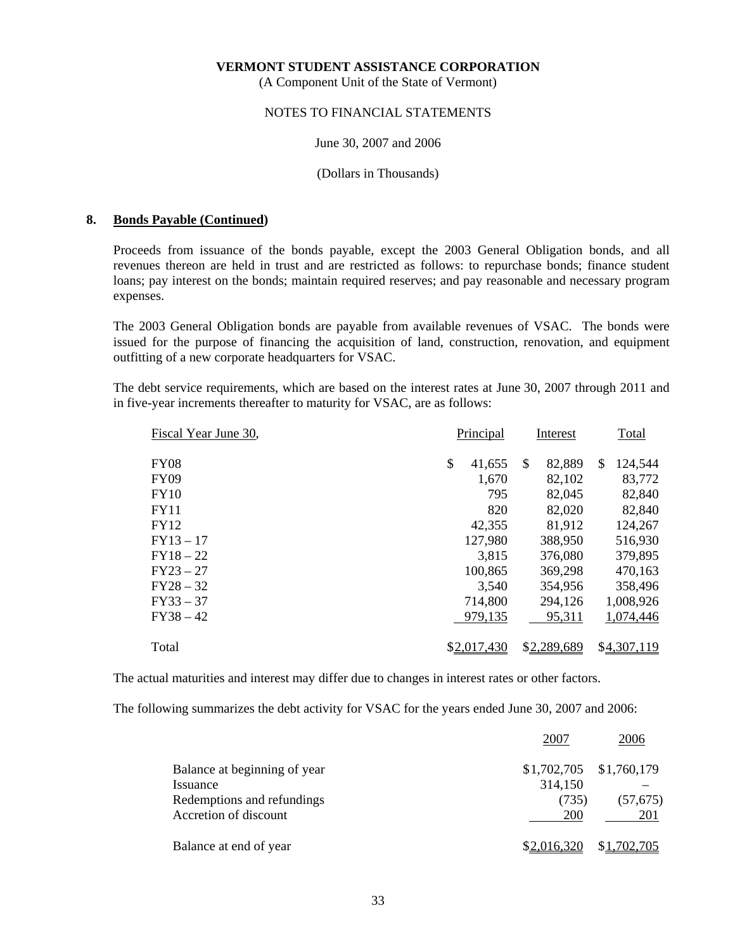(A Component Unit of the State of Vermont)

### NOTES TO FINANCIAL STATEMENTS

#### June 30, 2007 and 2006

#### (Dollars in Thousands)

### **8. Bonds Payable (Continued)**

 Proceeds from issuance of the bonds payable, except the 2003 General Obligation bonds, and all revenues thereon are held in trust and are restricted as follows: to repurchase bonds; finance student loans; pay interest on the bonds; maintain required reserves; and pay reasonable and necessary program expenses.

 The 2003 General Obligation bonds are payable from available revenues of VSAC. The bonds were issued for the purpose of financing the acquisition of land, construction, renovation, and equipment outfitting of a new corporate headquarters for VSAC.

 The debt service requirements, which are based on the interest rates at June 30, 2007 through 2011 and in five-year increments thereafter to maturity for VSAC, are as follows:

| Fiscal Year June 30, | Principal    | Interest      | Total                    |
|----------------------|--------------|---------------|--------------------------|
| <b>FY08</b>          | \$<br>41,655 | 82,889<br>\$. | 124,544<br><sup>\$</sup> |
| <b>FY09</b>          | 1,670        | 82,102        | 83,772                   |
| FY10                 | 795          | 82,045        | 82,840                   |
| FY11                 | 820          | 82,020        | 82,840                   |
| <b>FY12</b>          | 42,355       | 81,912        | 124,267                  |
| $FY13 - 17$          | 127,980      | 388,950       | 516,930                  |
| $FY18-22$            | 3,815        | 376,080       | 379,895                  |
| $FY23 - 27$          | 100,865      | 369,298       | 470,163                  |
| $FY28 - 32$          | 3,540        | 354,956       | 358,496                  |
| $FY33 - 37$          | 714,800      | 294,126       | 1,008,926                |
| $FY38 - 42$          | 979,135      | 95,311        | 1,074,446                |
| Total                | \$2,017,430  | \$2,289,689   | \$4,307,119              |

The actual maturities and interest may differ due to changes in interest rates or other factors.

The following summarizes the debt activity for VSAC for the years ended June 30, 2007 and 2006:

|                              | 2007                      | 2006        |
|------------------------------|---------------------------|-------------|
| Balance at beginning of year | $$1,702,705$ $$1,760,179$ |             |
| Issuance                     | 314,150                   |             |
| Redemptions and refundings   | (735)                     | (57, 675)   |
| Accretion of discount        | 200                       | 201         |
| Balance at end of year       | \$2,016,320               | \$1,702,705 |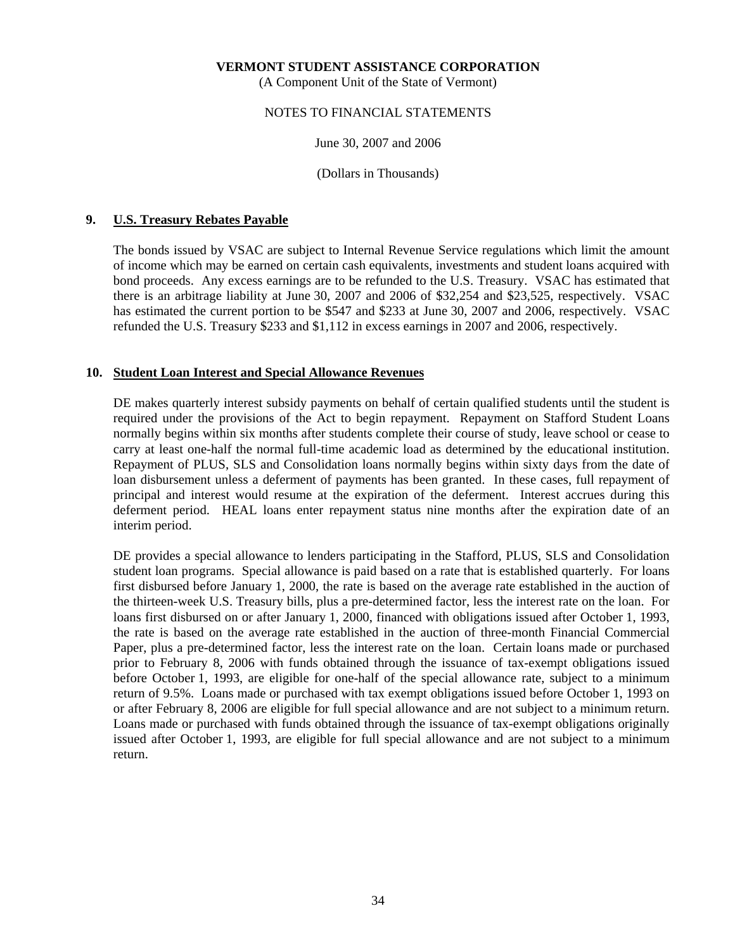(A Component Unit of the State of Vermont)

### NOTES TO FINANCIAL STATEMENTS

June 30, 2007 and 2006

(Dollars in Thousands)

### **9. U.S. Treasury Rebates Payable**

 The bonds issued by VSAC are subject to Internal Revenue Service regulations which limit the amount of income which may be earned on certain cash equivalents, investments and student loans acquired with bond proceeds. Any excess earnings are to be refunded to the U.S. Treasury. VSAC has estimated that there is an arbitrage liability at June 30, 2007 and 2006 of \$32,254 and \$23,525, respectively. VSAC has estimated the current portion to be \$547 and \$233 at June 30, 2007 and 2006, respectively. VSAC refunded the U.S. Treasury \$233 and \$1,112 in excess earnings in 2007 and 2006, respectively.

### **10. Student Loan Interest and Special Allowance Revenues**

 DE makes quarterly interest subsidy payments on behalf of certain qualified students until the student is required under the provisions of the Act to begin repayment. Repayment on Stafford Student Loans normally begins within six months after students complete their course of study, leave school or cease to carry at least one-half the normal full-time academic load as determined by the educational institution. Repayment of PLUS, SLS and Consolidation loans normally begins within sixty days from the date of loan disbursement unless a deferment of payments has been granted. In these cases, full repayment of principal and interest would resume at the expiration of the deferment. Interest accrues during this deferment period. HEAL loans enter repayment status nine months after the expiration date of an interim period.

DE provides a special allowance to lenders participating in the Stafford, PLUS, SLS and Consolidation student loan programs. Special allowance is paid based on a rate that is established quarterly. For loans first disbursed before January 1, 2000, the rate is based on the average rate established in the auction of the thirteen-week U.S. Treasury bills, plus a pre-determined factor, less the interest rate on the loan. For loans first disbursed on or after January 1, 2000, financed with obligations issued after October 1, 1993, the rate is based on the average rate established in the auction of three-month Financial Commercial Paper, plus a pre-determined factor, less the interest rate on the loan. Certain loans made or purchased prior to February 8, 2006 with funds obtained through the issuance of tax-exempt obligations issued before October 1, 1993, are eligible for one-half of the special allowance rate, subject to a minimum return of 9.5%. Loans made or purchased with tax exempt obligations issued before October 1, 1993 on or after February 8, 2006 are eligible for full special allowance and are not subject to a minimum return. Loans made or purchased with funds obtained through the issuance of tax-exempt obligations originally issued after October 1, 1993, are eligible for full special allowance and are not subject to a minimum return.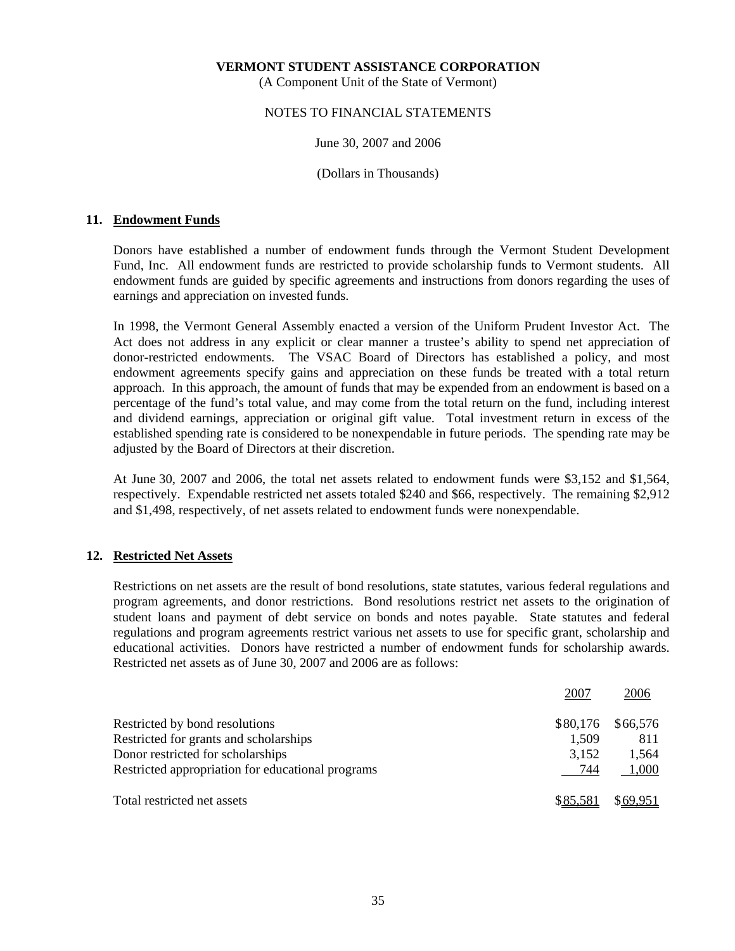(A Component Unit of the State of Vermont)

### NOTES TO FINANCIAL STATEMENTS

### June 30, 2007 and 2006

(Dollars in Thousands)

### **11. Endowment Funds**

 Donors have established a number of endowment funds through the Vermont Student Development Fund, Inc. All endowment funds are restricted to provide scholarship funds to Vermont students. All endowment funds are guided by specific agreements and instructions from donors regarding the uses of earnings and appreciation on invested funds.

 In 1998, the Vermont General Assembly enacted a version of the Uniform Prudent Investor Act. The Act does not address in any explicit or clear manner a trustee's ability to spend net appreciation of donor-restricted endowments. The VSAC Board of Directors has established a policy, and most endowment agreements specify gains and appreciation on these funds be treated with a total return approach. In this approach, the amount of funds that may be expended from an endowment is based on a percentage of the fund's total value, and may come from the total return on the fund, including interest and dividend earnings, appreciation or original gift value. Total investment return in excess of the established spending rate is considered to be nonexpendable in future periods. The spending rate may be adjusted by the Board of Directors at their discretion.

 At June 30, 2007 and 2006, the total net assets related to endowment funds were \$3,152 and \$1,564, respectively. Expendable restricted net assets totaled \$240 and \$66, respectively. The remaining \$2,912 and \$1,498, respectively, of net assets related to endowment funds were nonexpendable.

### **12. Restricted Net Assets**

 Restrictions on net assets are the result of bond resolutions, state statutes, various federal regulations and program agreements, and donor restrictions. Bond resolutions restrict net assets to the origination of student loans and payment of debt service on bonds and notes payable. State statutes and federal regulations and program agreements restrict various net assets to use for specific grant, scholarship and educational activities. Donors have restricted a number of endowment funds for scholarship awards. Restricted net assets as of June 30, 2007 and 2006 are as follows:

|                                                   | 2007     | 2006     |
|---------------------------------------------------|----------|----------|
| Restricted by bond resolutions                    | \$80,176 | \$66,576 |
| Restricted for grants and scholarships            | 1,509    | 811      |
| Donor restricted for scholarships                 | 3,152    | 1,564    |
| Restricted appropriation for educational programs | 744      | 1,000    |
| Total restricted net assets                       | \$85,581 | \$69.951 |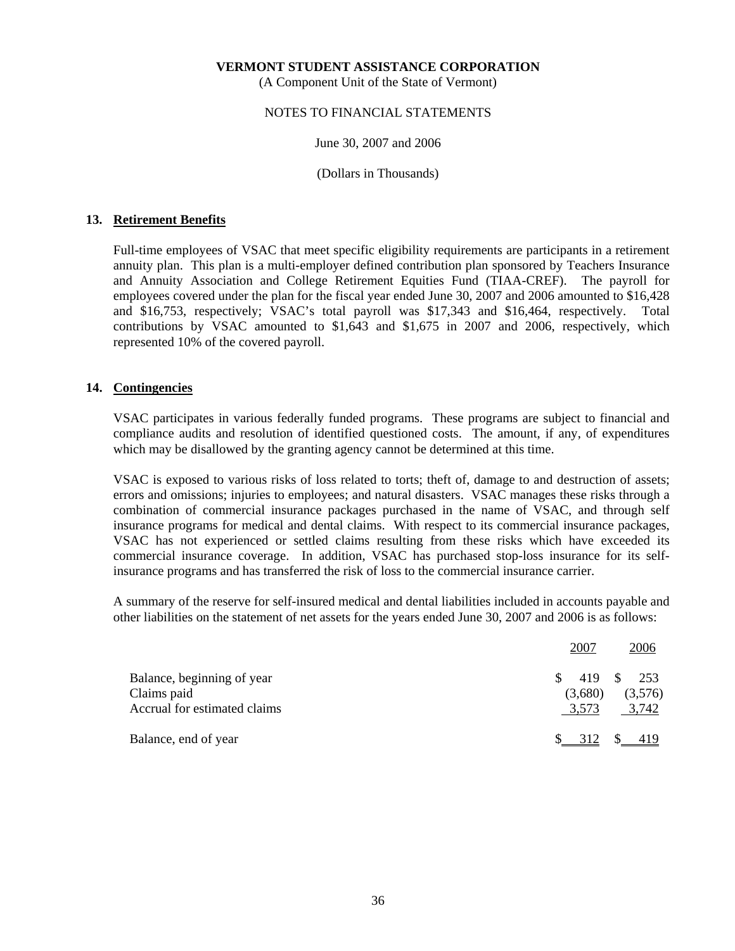(A Component Unit of the State of Vermont)

### NOTES TO FINANCIAL STATEMENTS

#### June 30, 2007 and 2006

(Dollars in Thousands)

### **13. Retirement Benefits**

 Full-time employees of VSAC that meet specific eligibility requirements are participants in a retirement annuity plan. This plan is a multi-employer defined contribution plan sponsored by Teachers Insurance and Annuity Association and College Retirement Equities Fund (TIAA-CREF). The payroll for employees covered under the plan for the fiscal year ended June 30, 2007 and 2006 amounted to \$16,428 and \$16,753, respectively; VSAC's total payroll was \$17,343 and \$16,464, respectively. Total contributions by VSAC amounted to \$1,643 and \$1,675 in 2007 and 2006, respectively, which represented 10% of the covered payroll.

### **14. Contingencies**

 VSAC participates in various federally funded programs. These programs are subject to financial and compliance audits and resolution of identified questioned costs. The amount, if any, of expenditures which may be disallowed by the granting agency cannot be determined at this time.

 VSAC is exposed to various risks of loss related to torts; theft of, damage to and destruction of assets; errors and omissions; injuries to employees; and natural disasters. VSAC manages these risks through a combination of commercial insurance packages purchased in the name of VSAC, and through self insurance programs for medical and dental claims. With respect to its commercial insurance packages, VSAC has not experienced or settled claims resulting from these risks which have exceeded its commercial insurance coverage. In addition, VSAC has purchased stop-loss insurance for its selfinsurance programs and has transferred the risk of loss to the commercial insurance carrier.

 A summary of the reserve for self-insured medical and dental liabilities included in accounts payable and other liabilities on the statement of net assets for the years ended June 30, 2007 and 2006 is as follows:

|                                             | 2007             | 2006             |
|---------------------------------------------|------------------|------------------|
| Balance, beginning of year                  | 419 \$           | 253              |
| Claims paid<br>Accrual for estimated claims | (3,680)<br>3,573 | (3,576)<br>3,742 |
| Balance, end of year                        |                  | 312 \$ 419       |